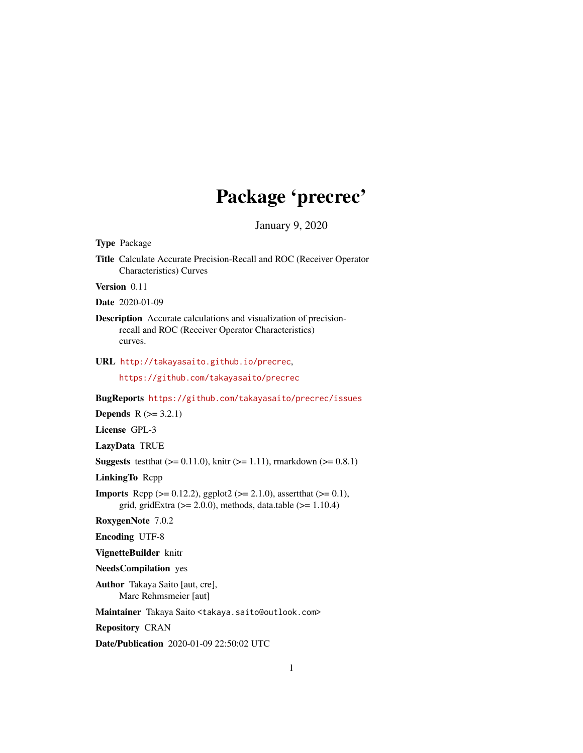# Package 'precrec'

January 9, 2020

<span id="page-0-0"></span>Type Package Title Calculate Accurate Precision-Recall and ROC (Receiver Operator Characteristics) Curves Version 0.11 Date 2020-01-09 Description Accurate calculations and visualization of precisionrecall and ROC (Receiver Operator Characteristics) curves. URL <http://takayasaito.github.io/precrec>, <https://github.com/takayasaito/precrec> BugReports <https://github.com/takayasaito/precrec/issues> **Depends**  $R (= 3.2.1)$ License GPL-3 LazyData TRUE **Suggests** test that  $(>= 0.11.0)$ , knitr  $(>= 1.11)$ , rmarkdown  $(>= 0.8.1)$ LinkingTo Rcpp **Imports** Rcpp ( $>= 0.12.2$ ), ggplot2 ( $>= 2.1.0$ ), assertthat ( $>= 0.1$ ), grid, gridExtra  $(>= 2.0.0)$ , methods, data.table  $(>= 1.10.4)$ RoxygenNote 7.0.2 Encoding UTF-8 VignetteBuilder knitr NeedsCompilation yes Author Takaya Saito [aut, cre], Marc Rehmsmeier [aut] Maintainer Takaya Saito <takaya.saito@outlook.com> Repository CRAN Date/Publication 2020-01-09 22:50:02 UTC 1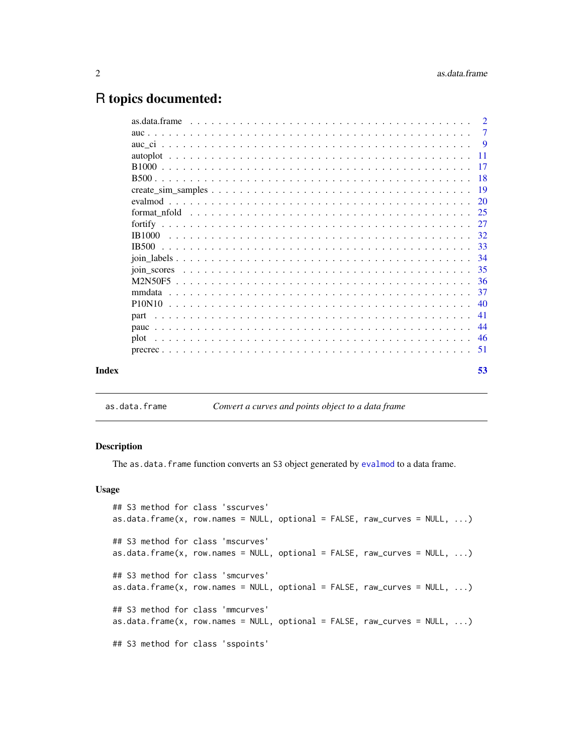## <span id="page-1-0"></span>R topics documented:

|       |              | $\overline{2}$ |
|-------|--------------|----------------|
|       |              | -7             |
|       |              |                |
|       |              |                |
|       |              |                |
|       |              |                |
|       |              |                |
|       |              | 20             |
|       |              |                |
|       |              |                |
|       |              | 32             |
|       | <b>IB500</b> | -33            |
|       |              | -34            |
|       |              | 35             |
|       |              |                |
|       | mmdata       | -37            |
|       |              | 40             |
|       | part         | -41            |
|       |              | 44             |
|       | plot         |                |
|       |              | -51            |
|       |              |                |
| Index |              | 53             |
|       |              |                |

<span id="page-1-1"></span>as.data.frame *Convert a curves and points object to a data frame*

### Description

The as.data.frame function converts an S3 object generated by [evalmod](#page-19-1) to a data frame.

### Usage

```
## S3 method for class 'sscurves'
as.data.frame(x, row.names = NULL, optional = FALSE, raw_curves = NULL, ...)
## S3 method for class 'mscurves'
as.data.frame(x, row.names = NULL, optional = FALSE, raw_curves = NULL, ...)
## S3 method for class 'smcurves'
as.data.frame(x, row.names = NULL, optional = FALSE, raw_curves = NULL, ...)
## S3 method for class 'mmcurves'
as.data frame(x, row.name = NULL, optional = FALSE, raw_cuvves = NULL, ...)## S3 method for class 'sspoints'
```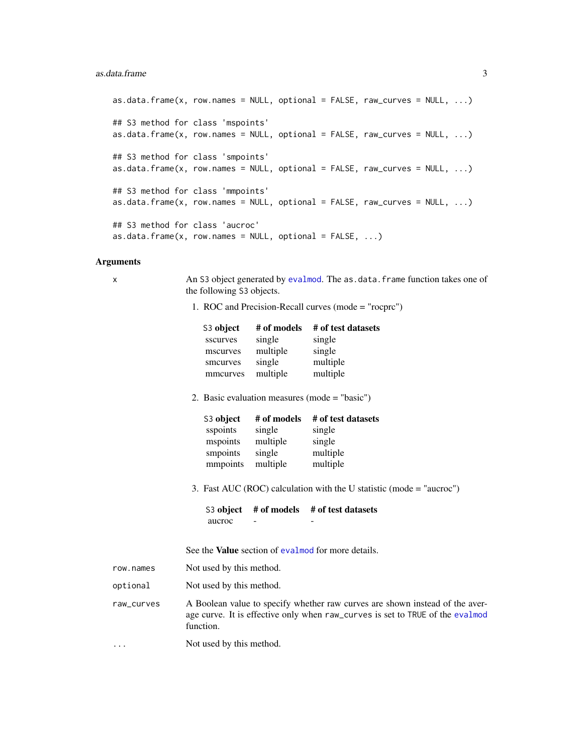### as.data.frame 3

```
as.data.frame(x, row.names = NULL, optional = FALSE, raw_curves = NULL, \dots)
## S3 method for class 'mspoints'
as.data.frame(x, row.names = NULL, optional = FALSE, raw_curves = NULL, ...)
## S3 method for class 'smpoints'
as.data.frame(x, row.names = NULL, optional = FALSE, raw_curves = NULL, ...)
## S3 method for class 'mmpoints'
as.data.frame(x, row.names = NULL, optional = FALSE, raw_curves = NULL, ...)
## S3 method for class 'aucroc'
as.data.frame(x, row.names = NULL, optional = FALSE, ...)
```
### Arguments

| ,          |                                                                                                         |                                                         |                                                                                                                                                               |  |
|------------|---------------------------------------------------------------------------------------------------------|---------------------------------------------------------|---------------------------------------------------------------------------------------------------------------------------------------------------------------|--|
| х          | An S3 object generated by evalmod. The as.data.frame function takes one of<br>the following S3 objects. |                                                         |                                                                                                                                                               |  |
|            |                                                                                                         |                                                         | 1. ROC and Precision-Recall curves (mode = "rocprc")                                                                                                          |  |
|            | S3 object<br>sscurves<br>mscurves<br>smcurves<br>mmcurves                                               | # of models<br>single<br>multiple<br>single<br>multiple | # of test datasets<br>single<br>single<br>multiple<br>multiple                                                                                                |  |
|            |                                                                                                         |                                                         | 2. Basic evaluation measures (mode $=$ "basic")                                                                                                               |  |
|            | S3 object<br>sspoints<br>mspoints<br>smpoints<br>mmpoints                                               | # of models<br>single<br>multiple<br>single<br>multiple | # of test datasets<br>single<br>single<br>multiple<br>multiple<br>3. Fast AUC (ROC) calculation with the U statistic (mode = "aucroc")                        |  |
|            | S3 object<br>aucroc                                                                                     |                                                         | # of models # of test datasets                                                                                                                                |  |
|            |                                                                                                         |                                                         | See the <b>Value</b> section of evalmod for more details.                                                                                                     |  |
| row.names  | Not used by this method.                                                                                |                                                         |                                                                                                                                                               |  |
| optional   | Not used by this method.                                                                                |                                                         |                                                                                                                                                               |  |
| raw_curves | function.                                                                                               |                                                         | A Boolean value to specify whether raw curves are shown instead of the aver-<br>age curve. It is effective only when raw_curves is set to TRUE of the evalmod |  |
| $\cdots$   | Not used by this method.                                                                                |                                                         |                                                                                                                                                               |  |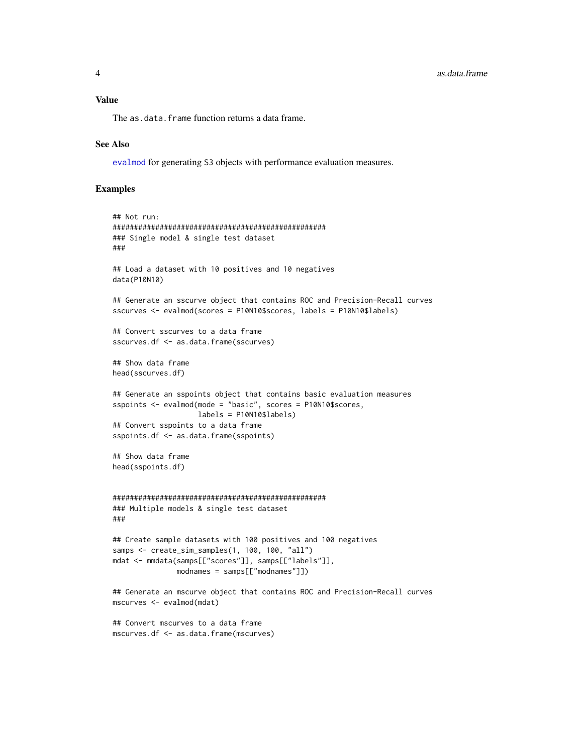<span id="page-3-0"></span>The as.data.frame function returns a data frame.

### See Also

[evalmod](#page-19-1) for generating S3 objects with performance evaluation measures.

### Examples

```
## Not run:
##################################################
### Single model & single test dataset
###
## Load a dataset with 10 positives and 10 negatives
data(P10N10)
## Generate an sscurve object that contains ROC and Precision-Recall curves
sscurves <- evalmod(scores = P10N10$scores, labels = P10N10$labels)
## Convert sscurves to a data frame
sscurves.df <- as.data.frame(sscurves)
## Show data frame
head(sscurves.df)
## Generate an sspoints object that contains basic evaluation measures
sspoints <- evalmod(mode = "basic", scores = P10N10$scores,
                    labels = P10N10$labels)
## Convert sspoints to a data frame
sspoints.df <- as.data.frame(sspoints)
## Show data frame
head(sspoints.df)
##################################################
### Multiple models & single test dataset
###
## Create sample datasets with 100 positives and 100 negatives
samps <- create_sim_samples(1, 100, 100, "all")
mdat <- mmdata(samps[["scores"]], samps[["labels"]],
               modnames = samps[["modnames"]])
## Generate an mscurve object that contains ROC and Precision-Recall curves
mscurves <- evalmod(mdat)
```

```
## Convert mscurves to a data frame
mscurves.df <- as.data.frame(mscurves)
```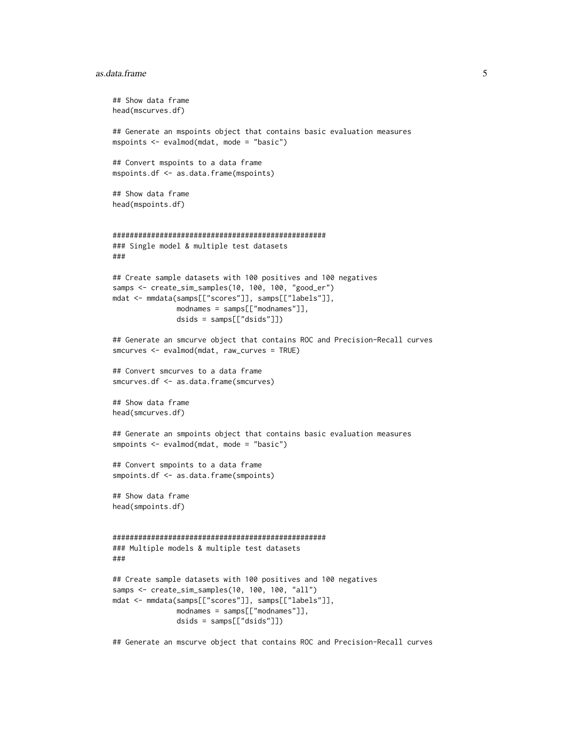#### as.data.frame 5

```
## Show data frame
head(mscurves.df)
## Generate an mspoints object that contains basic evaluation measures
mspoints <- evalmod(mdat, mode = "basic")
## Convert mspoints to a data frame
mspoints.df <- as.data.frame(mspoints)
## Show data frame
head(mspoints.df)
##################################################
### Single model & multiple test datasets
###
## Create sample datasets with 100 positives and 100 negatives
samps <- create_sim_samples(10, 100, 100, "good_er")
mdat <- mmdata(samps[["scores"]], samps[["labels"]],
              modnames = samps[["modnames"]],
               dsids = samps[["dsids"]])
## Generate an smcurve object that contains ROC and Precision-Recall curves
smcurves <- evalmod(mdat, raw_curves = TRUE)
## Convert smcurves to a data frame
smcurves.df <- as.data.frame(smcurves)
## Show data frame
head(smcurves.df)
## Generate an smpoints object that contains basic evaluation measures
smpoints <- evalmod(mdat, mode = "basic")
## Convert smpoints to a data frame
smpoints.df <- as.data.frame(smpoints)
## Show data frame
head(smpoints.df)
##################################################
### Multiple models & multiple test datasets
###
## Create sample datasets with 100 positives and 100 negatives
samps <- create_sim_samples(10, 100, 100, "all")
mdat <- mmdata(samps[["scores"]], samps[["labels"]],
              modnames = samps[["modnames"]],
               dsids = samps[["dsids"]])
```
## Generate an mscurve object that contains ROC and Precision-Recall curves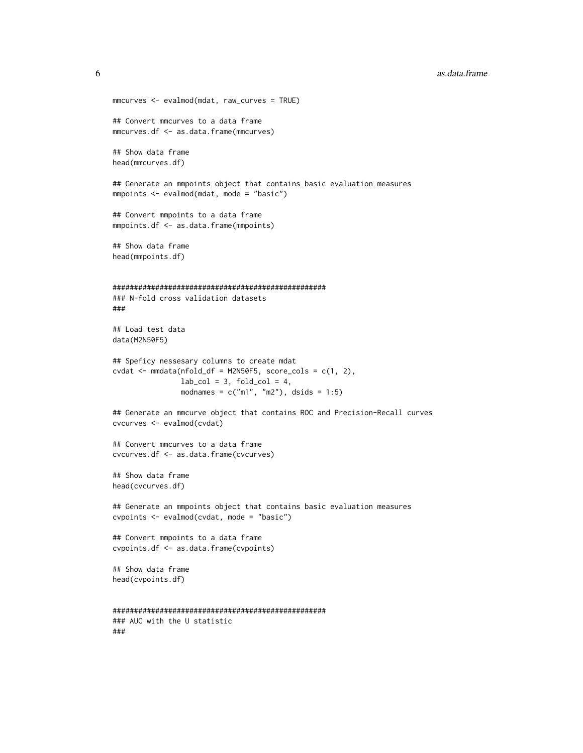**6 b** as.data.frame **assets b** as.data.frame **assets b** as.data.frame

```
mmcurves <- evalmod(mdat, raw_curves = TRUE)
## Convert mmcurves to a data frame
mmcurves.df <- as.data.frame(mmcurves)
## Show data frame
head(mmcurves.df)
## Generate an mmpoints object that contains basic evaluation measures
mmpoints <- evalmod(mdat, mode = "basic")
## Convert mmpoints to a data frame
mmpoints.df <- as.data.frame(mmpoints)
## Show data frame
head(mmpoints.df)
##################################################
### N-fold cross validation datasets
###
## Load test data
data(M2N50F5)
## Speficy nessesary columns to create mdat
cvdat \leq mmdata(nfold_df = M2N50F5, score_cols = c(1, 2),
                lab\_col = 3, fold\_col = 4,
                modnames = c("m1", "m2"), dsids = 1:5)
## Generate an mmcurve object that contains ROC and Precision-Recall curves
cvcurves <- evalmod(cvdat)
## Convert mmcurves to a data frame
cvcurves.df <- as.data.frame(cvcurves)
## Show data frame
head(cvcurves.df)
## Generate an mmpoints object that contains basic evaluation measures
cvpoints <- evalmod(cvdat, mode = "basic")
## Convert mmpoints to a data frame
cvpoints.df <- as.data.frame(cvpoints)
## Show data frame
head(cvpoints.df)
##################################################
### AUC with the U statistic
###
```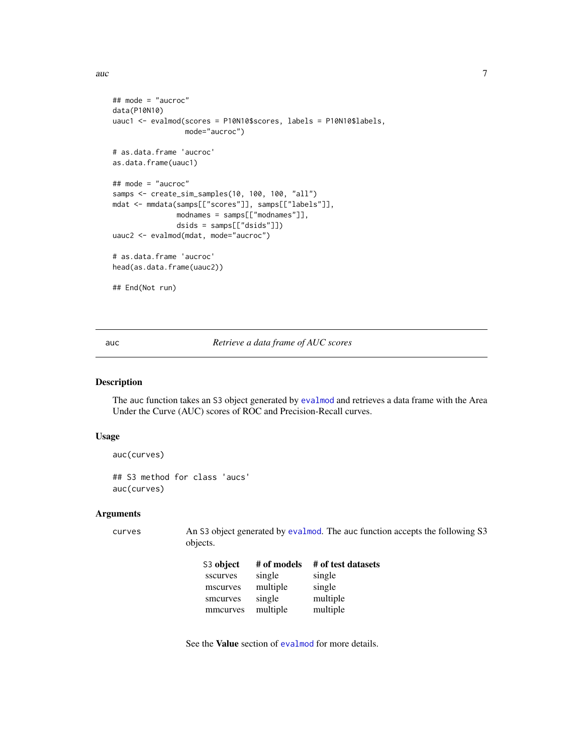<span id="page-6-0"></span>auch  $\sim$  7

```
## mode = "aucroc"
data(P10N10)
uauc1 <- evalmod(scores = P10N10$scores, labels = P10N10$labels,
                 mode="aucroc")
# as.data.frame 'aucroc'
as.data.frame(uauc1)
## mode = "aucroc"
samps <- create_sim_samples(10, 100, 100, "all")
mdat <- mmdata(samps[["scores"]], samps[["labels"]],
               modnames = samps[["modnames"]],
               dsids = samps[["dsids"]])
uauc2 <- evalmod(mdat, mode="aucroc")
# as.data.frame 'aucroc'
head(as.data.frame(uauc2))
## End(Not run)
```
<span id="page-6-1"></span>auc *Retrieve a data frame of AUC scores*

### Description

The auc function takes an S3 object generated by [evalmod](#page-19-1) and retrieves a data frame with the Area Under the Curve (AUC) scores of ROC and Precision-Recall curves.

### Usage

```
auc(curves)
## S3 method for class 'aucs'
auc(curves)
```
#### Arguments

curves An S3 object generated by [evalmod](#page-19-1). The auc function accepts the following S3 objects.

| S3 object | # of models | # of test datasets |
|-----------|-------------|--------------------|
| sscurves  | single      | single             |
| mscurves  | multiple    | single             |
| smcurves  | single      | multiple           |
| mmcurves  | multiple    | multiple           |

See the Value section of [evalmod](#page-19-1) for more details.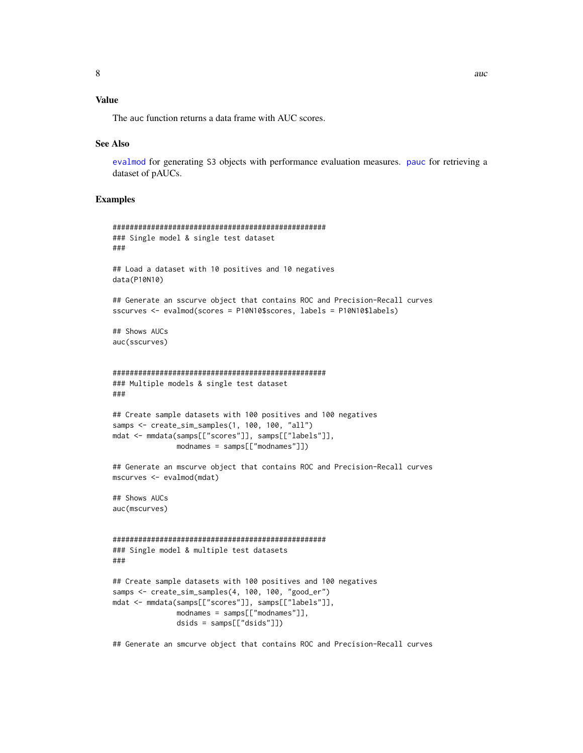### <span id="page-7-0"></span>Value

The auc function returns a data frame with AUC scores.

#### See Also

[evalmod](#page-19-1) for generating S3 objects with performance evaluation measures. [pauc](#page-43-1) for retrieving a dataset of pAUCs.

### Examples

```
##################################################
### Single model & single test dataset
###
## Load a dataset with 10 positives and 10 negatives
data(P10N10)
## Generate an sscurve object that contains ROC and Precision-Recall curves
sscurves <- evalmod(scores = P10N10$scores, labels = P10N10$labels)
## Shows AUCs
auc(sscurves)
##################################################
### Multiple models & single test dataset
###
## Create sample datasets with 100 positives and 100 negatives
samps <- create_sim_samples(1, 100, 100, "all")
mdat <- mmdata(samps[["scores"]], samps[["labels"]],
               modnames = samps[["modnames"]])
## Generate an mscurve object that contains ROC and Precision-Recall curves
mscurves <- evalmod(mdat)
## Shows AUCs
auc(mscurves)
##################################################
### Single model & multiple test datasets
###
## Create sample datasets with 100 positives and 100 negatives
samps <- create_sim_samples(4, 100, 100, "good_er")
mdat <- mmdata(samps[["scores"]], samps[["labels"]],
              modnames = samps[["modnames"]],
              dsids = samps[["dsids"]])
```
## Generate an smcurve object that contains ROC and Precision-Recall curves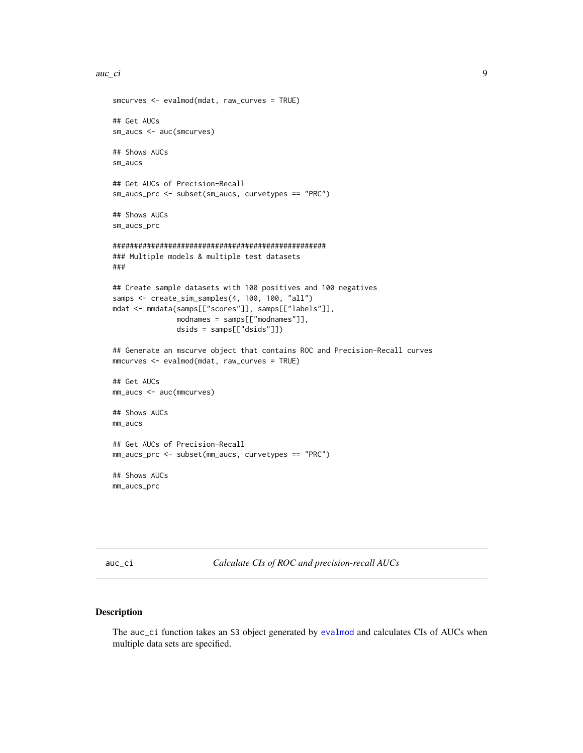```
auc_ci 9
```

```
smcurves <- evalmod(mdat, raw_curves = TRUE)
## Get AUCs
sm_aucs <- auc(smcurves)
## Shows AUCs
sm_aucs
## Get AUCs of Precision-Recall
sm_aucs_prc <- subset(sm_aucs, curvetypes == "PRC")
## Shows AUCs
sm_aucs_prc
##################################################
### Multiple models & multiple test datasets
###
## Create sample datasets with 100 positives and 100 negatives
samps <- create_sim_samples(4, 100, 100, "all")
mdat <- mmdata(samps[["scores"]], samps[["labels"]],
               modnames = samps[["modnames"]],
               dsids = samps[["dsids"]])
## Generate an mscurve object that contains ROC and Precision-Recall curves
mmcurves <- evalmod(mdat, raw_curves = TRUE)
## Get AUCs
mm_aucs <- auc(mmcurves)
## Shows AUCs
mm_aucs
## Get AUCs of Precision-Recall
mm_aucs_prc <- subset(mm_aucs, curvetypes == "PRC")
## Shows AUCs
mm_aucs_prc
```
<span id="page-8-1"></span>auc\_ci *Calculate CIs of ROC and precision-recall AUCs*

### Description

The auc\_ci function takes an S3 object generated by [evalmod](#page-19-1) and calculates CIs of AUCs when multiple data sets are specified.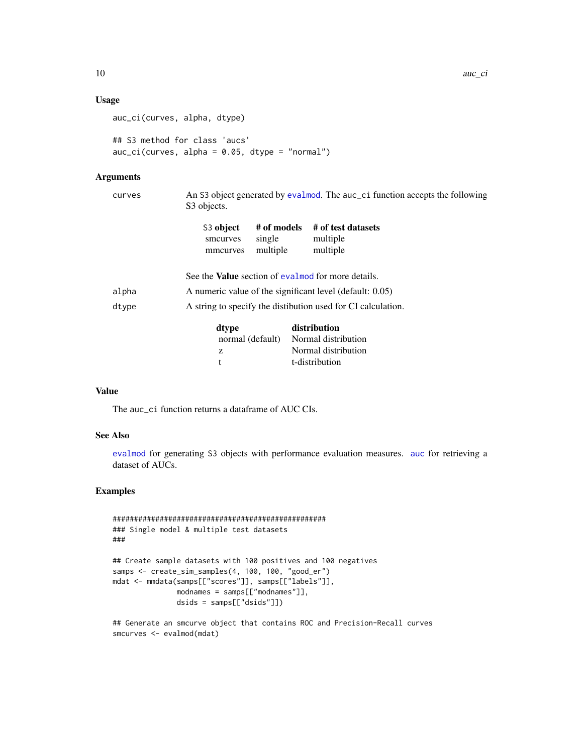### Usage

```
auc_ci(curves, alpha, dtype)
```

```
## S3 method for class 'aucs'
auc_ci(curves, alpha = 0.05, dtype = "normal")
```
### Arguments

| curves | An S3 object generated by evalmod. The auc_ci function accepts the following<br>S <sub>3</sub> objects. |                                   |                                                           |  |
|--------|---------------------------------------------------------------------------------------------------------|-----------------------------------|-----------------------------------------------------------|--|
|        | S3 object<br>smcurves<br>mmcurves                                                                       | # of models<br>single<br>multiple | # of test datasets<br>multiple<br>multiple                |  |
|        |                                                                                                         |                                   | See the <b>Value</b> section of evalmod for more details. |  |
| alpha  |                                                                                                         |                                   | A numeric value of the significant level (default: 0.05)  |  |
| dtype  | A string to specify the distibution used for CI calculation.                                            |                                   |                                                           |  |
|        | dtype                                                                                                   |                                   | distribution                                              |  |
|        | normal (default)                                                                                        |                                   | Normal distribution                                       |  |
|        | z                                                                                                       |                                   | Normal distribution                                       |  |
|        | t                                                                                                       |                                   | t-distribution                                            |  |

### Value

The auc\_ci function returns a dataframe of AUC CIs.

### See Also

[evalmod](#page-19-1) for generating S3 objects with performance evaluation measures. [auc](#page-6-1) for retrieving a dataset of AUCs.

### Examples

```
##################################################
### Single model & multiple test datasets
###
## Create sample datasets with 100 positives and 100 negatives
samps <- create_sim_samples(4, 100, 100, "good_er")
mdat <- mmdata(samps[["scores"]], samps[["labels"]],
               modnames = samps[["modnames"]],
               dsids = samps[["dsids"]])
```
## Generate an smcurve object that contains ROC and Precision-Recall curves smcurves <- evalmod(mdat)

<span id="page-9-0"></span>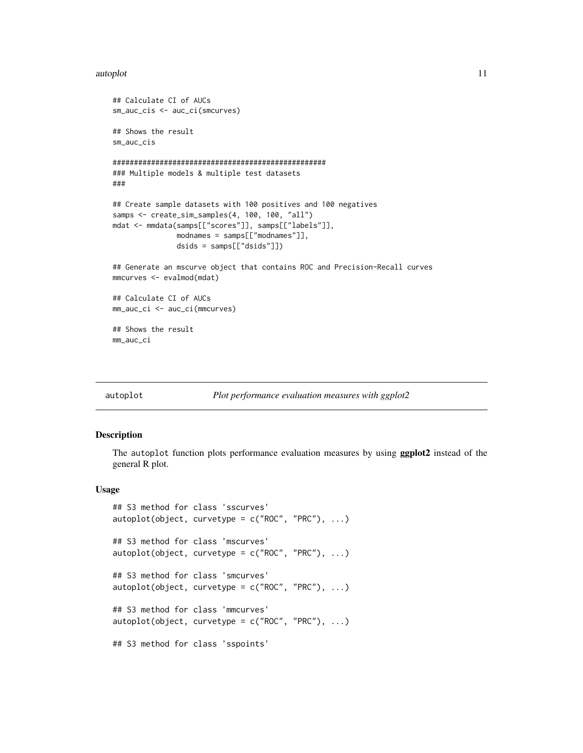#### <span id="page-10-0"></span>autoplot the contract of the contract of the contract of the contract of the contract of the contract of the contract of the contract of the contract of the contract of the contract of the contract of the contract of the c

```
## Calculate CI of AUCs
sm_auc_cis <- auc_ci(smcurves)
## Shows the result
sm_auc_cis
##################################################
### Multiple models & multiple test datasets
###
## Create sample datasets with 100 positives and 100 negatives
samps <- create_sim_samples(4, 100, 100, "all")
mdat <- mmdata(samps[["scores"]], samps[["labels"]],
               modnames = samps[["modnames"]],
               dsids = samps[["dsids"]])
## Generate an mscurve object that contains ROC and Precision-Recall curves
mmcurves <- evalmod(mdat)
## Calculate CI of AUCs
mm_auc_ci <- auc_ci(mmcurves)
## Shows the result
mm_auc_ci
```
<span id="page-10-1"></span>

#### autoplot *Plot performance evaluation measures with ggplot2*

#### Description

The autoplot function plots performance evaluation measures by using ggplot2 instead of the general R plot.

### Usage

```
## S3 method for class 'sscurves'
autoplot(object, curvetype = c("ROC", "PRC"), ...)## S3 method for class 'mscurves'
autoplot(object, curvetype = c("ROC", "PRC"), ...)## S3 method for class 'smcurves'
autoplot(object, curvetype = c("ROC", "PRC"), ...)## S3 method for class 'mmcurves'
autoplot(object, curvetype = c("ROC", "PRC"), ...)## S3 method for class 'sspoints'
```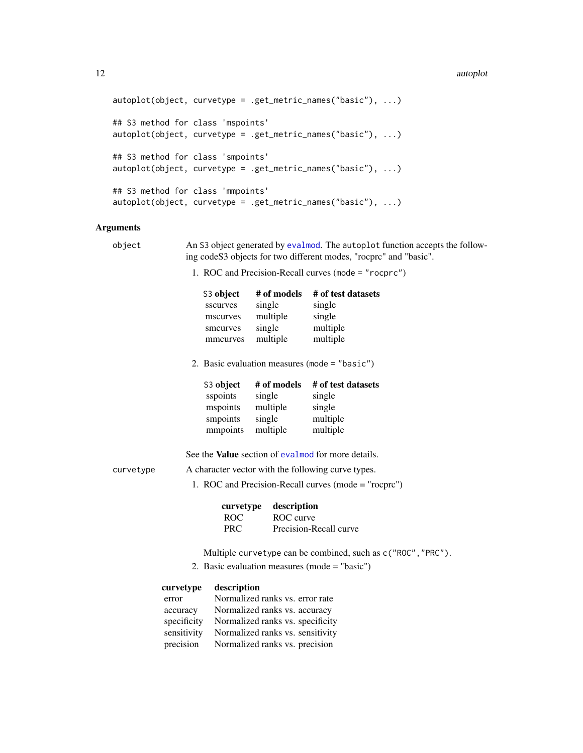#### <span id="page-11-0"></span>12 autoplot

```
autoplot(object, curvetype = .get_metric_names("basic"), ...)
## S3 method for class 'mspoints'
autoplot(object, curvetype = .get_metric_names("basic"), ...)
## S3 method for class 'smpoints'
autoplot(object, curvetype = .get_metric_names("basic"), ...)
## S3 method for class 'mmpoints'
autoplot(object, curvetype = .get_metric_names("basic"), ...)
```
### **Arguments**

```
object An S3 object generated by evalmod. The autoplot function accepts the follow-
                 ing codeS3 objects for two different modes, "rocprc" and "basic".
```
1. ROC and Precision-Recall curves (mode = "rocprc")

| S3 object | # of models | # of test datasets |
|-----------|-------------|--------------------|
| sscurves  | single      | single             |
| mscurves  | multiple    | single             |
| smcurves  | single      | multiple           |
| mmcurves  | multiple    | multiple           |
|           |             |                    |

2. Basic evaluation measures (mode = "basic")

| S3 object | # of models | # of test datasets |
|-----------|-------------|--------------------|
| sspoints  | single      | single             |
| mspoints  | multiple    | single             |
| smpoints  | single      | multiple           |
| mmpoints  | multiple    | multiple           |

See the Value section of [evalmod](#page-19-1) for more details.

- curvetype A character vector with the following curve types.
	- 1. ROC and Precision-Recall curves (mode = "rocprc")

|            | curvetype description  |
|------------|------------------------|
| ROC.       | ROC curve              |
| <b>PRC</b> | Precision-Recall curve |

- Multiple curvetype can be combined, such as c("ROC","PRC").
- 2. Basic evaluation measures (mode = "basic")

| curvetype   | description                      |
|-------------|----------------------------------|
| error       | Normalized ranks vs. error rate  |
| accuracy    | Normalized ranks vs. accuracy    |
| specificity | Normalized ranks vs. specificity |
| sensitivity | Normalized ranks vs. sensitivity |
| precision   | Normalized ranks vs. precision   |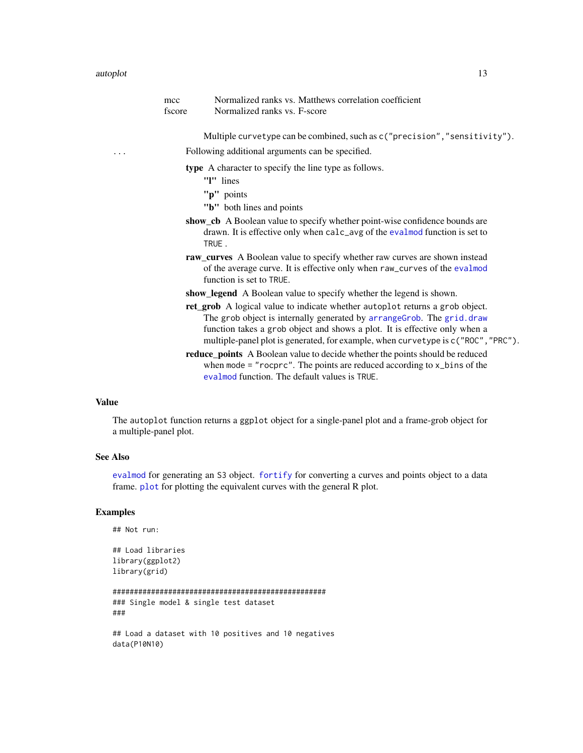<span id="page-12-0"></span>

|   | mcc<br>fscore | Normalized ranks vs. Matthews correlation coefficient<br>Normalized ranks vs. F-score                                                                                                                                                                                                                                    |
|---|---------------|--------------------------------------------------------------------------------------------------------------------------------------------------------------------------------------------------------------------------------------------------------------------------------------------------------------------------|
|   |               | Multiple curvetype can be combined, such as c("precision", "sensitivity").                                                                                                                                                                                                                                               |
| . |               | Following additional arguments can be specified.                                                                                                                                                                                                                                                                         |
|   |               | type A character to specify the line type as follows.<br>"I" lines<br>"p" points                                                                                                                                                                                                                                         |
|   |               | "b" both lines and points<br>show_cb A Boolean value to specify whether point-wise confidence bounds are<br>drawn. It is effective only when calc_avg of the evalmod function is set to<br>TRUE.                                                                                                                         |
|   |               | raw_curves A Boolean value to specify whether raw curves are shown instead<br>of the average curve. It is effective only when raw_curves of the evalmod<br>function is set to TRUE.                                                                                                                                      |
|   |               | show_legend A Boolean value to specify whether the legend is shown.                                                                                                                                                                                                                                                      |
|   |               | ret_grob A logical value to indicate whether autoplot returns a grob object.<br>The grob object is internally generated by arrangeGrob. The grid.draw<br>function takes a grob object and shows a plot. It is effective only when a<br>multiple-panel plot is generated, for example, when curvetype is c("ROC", "PRC"). |
|   |               | reduce_points A Boolean value to decide whether the points should be reduced<br>when mode = " $rocpc$ ". The points are reduced according to $x_b$ ins of the<br>evalmod function. The default values is TRUE.                                                                                                           |

### Value

The autoplot function returns a ggplot object for a single-panel plot and a frame-grob object for a multiple-panel plot.

### See Also

[evalmod](#page-19-1) for generating an S3 object. [fortify](#page-26-1) for converting a curves and points object to a data frame. [plot](#page-45-1) for plotting the equivalent curves with the general R plot.

### Examples

## Not run:

```
## Load libraries
library(ggplot2)
library(grid)
```

```
##################################################
### Single model & single test dataset
###
```

```
## Load a dataset with 10 positives and 10 negatives
data(P10N10)
```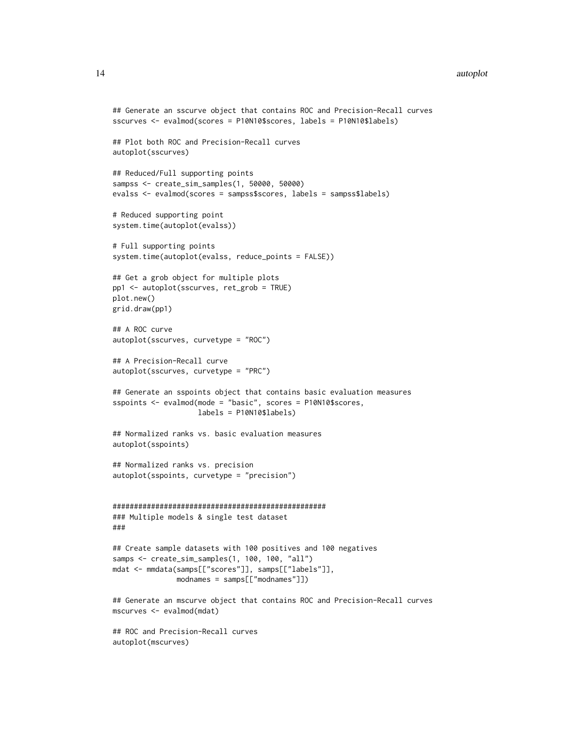#### 14 autoplot

```
## Generate an sscurve object that contains ROC and Precision-Recall curves
sscurves <- evalmod(scores = P10N10$scores, labels = P10N10$labels)
## Plot both ROC and Precision-Recall curves
autoplot(sscurves)
## Reduced/Full supporting points
sampss <- create_sim_samples(1, 50000, 50000)
evalss <- evalmod(scores = sampss$scores, labels = sampss$labels)
# Reduced supporting point
system.time(autoplot(evalss))
# Full supporting points
system.time(autoplot(evalss, reduce_points = FALSE))
## Get a grob object for multiple plots
pp1 <- autoplot(sscurves, ret_grob = TRUE)
plot.new()
grid.draw(pp1)
## A ROC curve
autoplot(sscurves, curvetype = "ROC")
## A Precision-Recall curve
autoplot(sscurves, curvetype = "PRC")
## Generate an sspoints object that contains basic evaluation measures
sspoints <- evalmod(mode = "basic", scores = P10N10$scores,
                   labels = P10N10$labels)
## Normalized ranks vs. basic evaluation measures
autoplot(sspoints)
## Normalized ranks vs. precision
autoplot(sspoints, curvetype = "precision")
##################################################
### Multiple models & single test dataset
###
## Create sample datasets with 100 positives and 100 negatives
samps <- create_sim_samples(1, 100, 100, "all")
mdat <- mmdata(samps[["scores"]], samps[["labels"]],
              modnames = samps[["modnames"]])
## Generate an mscurve object that contains ROC and Precision-Recall curves
mscurves <- evalmod(mdat)
## ROC and Precision-Recall curves
```
autoplot(mscurves)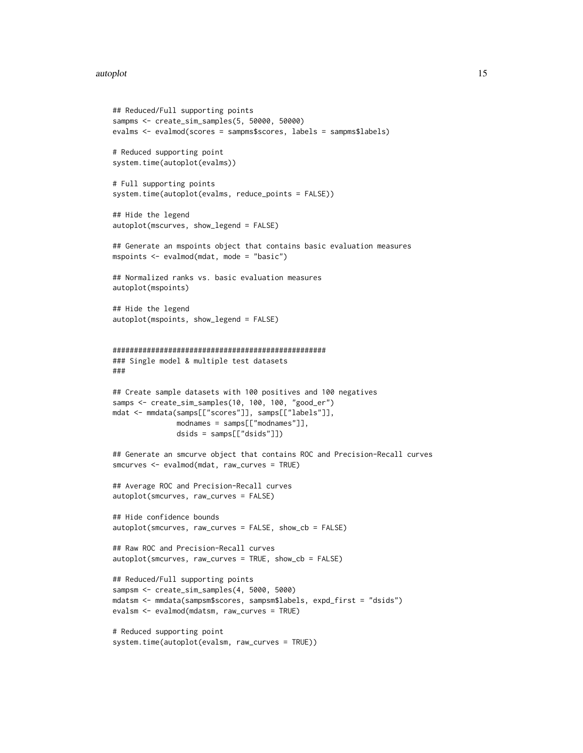#### autoplot the contract of the contract of the contract of the contract of the contract of the contract of the contract of the contract of the contract of the contract of the contract of the contract of the contract of the c

```
## Reduced/Full supporting points
sampms <- create_sim_samples(5, 50000, 50000)
evalms <- evalmod(scores = sampms$scores, labels = sampms$labels)
# Reduced supporting point
system.time(autoplot(evalms))
# Full supporting points
system.time(autoplot(evalms, reduce_points = FALSE))
## Hide the legend
autoplot(mscurves, show_legend = FALSE)
## Generate an mspoints object that contains basic evaluation measures
mspoints <- evalmod(mdat, mode = "basic")
## Normalized ranks vs. basic evaluation measures
autoplot(mspoints)
## Hide the legend
autoplot(mspoints, show_legend = FALSE)
##################################################
### Single model & multiple test datasets
###
## Create sample datasets with 100 positives and 100 negatives
samps <- create_sim_samples(10, 100, 100, "good_er")
mdat <- mmdata(samps[["scores"]], samps[["labels"]],
              modnames = samps[["modnames"]],
              dsids = samps[["dsids"]])
## Generate an smcurve object that contains ROC and Precision-Recall curves
smcurves <- evalmod(mdat, raw_curves = TRUE)
## Average ROC and Precision-Recall curves
autoplot(smcurves, raw_curves = FALSE)
## Hide confidence bounds
autoplot(smcurves, raw_curves = FALSE, show_cb = FALSE)
## Raw ROC and Precision-Recall curves
autoplot(smcurves, raw_curves = TRUE, show_cb = FALSE)
## Reduced/Full supporting points
sampsm <- create_sim_samples(4, 5000, 5000)
mdatsm <- mmdata(sampsm$scores, sampsm$labels, expd_first = "dsids")
evalsm <- evalmod(mdatsm, raw_curves = TRUE)
# Reduced supporting point
system.time(autoplot(evalsm, raw_curves = TRUE))
```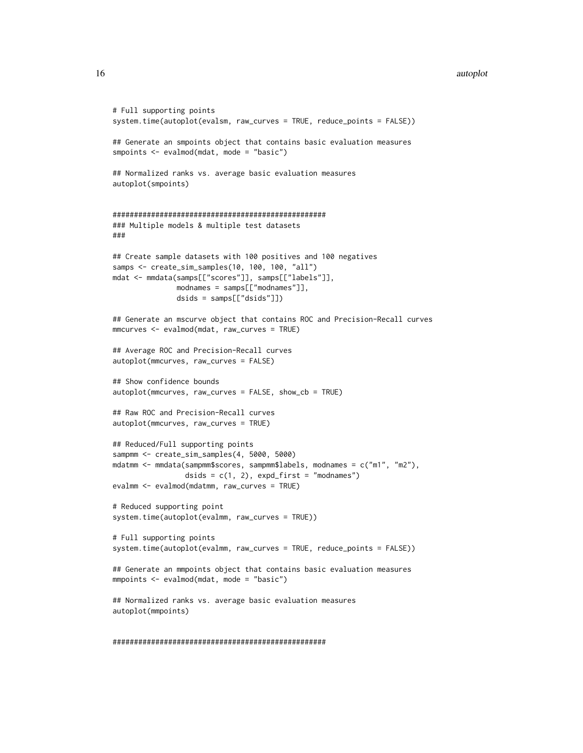#### 16 autoplot and the set of the set of the set of the set of the set of the set of the set of the set of the set of the set of the set of the set of the set of the set of the set of the set of the set of the set of the set

```
# Full supporting points
system.time(autoplot(evalsm, raw_curves = TRUE, reduce_points = FALSE))
## Generate an smpoints object that contains basic evaluation measures
smpoints <- evalmod(mdat, mode = "basic")
## Normalized ranks vs. average basic evaluation measures
autoplot(smpoints)
##################################################
### Multiple models & multiple test datasets
###
## Create sample datasets with 100 positives and 100 negatives
samps <- create_sim_samples(10, 100, 100, "all")
mdat <- mmdata(samps[["scores"]], samps[["labels"]],
              modnames = samps[["modnames"]],
               dsids = samps[["dsids"]])
## Generate an mscurve object that contains ROC and Precision-Recall curves
mmcurves <- evalmod(mdat, raw_curves = TRUE)
## Average ROC and Precision-Recall curves
autoplot(mmcurves, raw_curves = FALSE)
## Show confidence bounds
autoplot(mmcurves, raw_curves = FALSE, show_cb = TRUE)
## Raw ROC and Precision-Recall curves
autoplot(mmcurves, raw_curves = TRUE)
## Reduced/Full supporting points
sampmm <- create_sim_samples(4, 5000, 5000)
mdatmm <- mmdata(sampmm$scores, sampmm$labels, modnames = c("m1", "m2"),
                 dsids = c(1, 2), expd_first = "modnames")
evalmm <- evalmod(mdatmm, raw_curves = TRUE)
# Reduced supporting point
system.time(autoplot(evalmm, raw_curves = TRUE))
# Full supporting points
system.time(autoplot(evalmm, raw_curves = TRUE, reduce_points = FALSE))
## Generate an mmpoints object that contains basic evaluation measures
mmpoints <- evalmod(mdat, mode = "basic")
## Normalized ranks vs. average basic evaluation measures
autoplot(mmpoints)
```
##################################################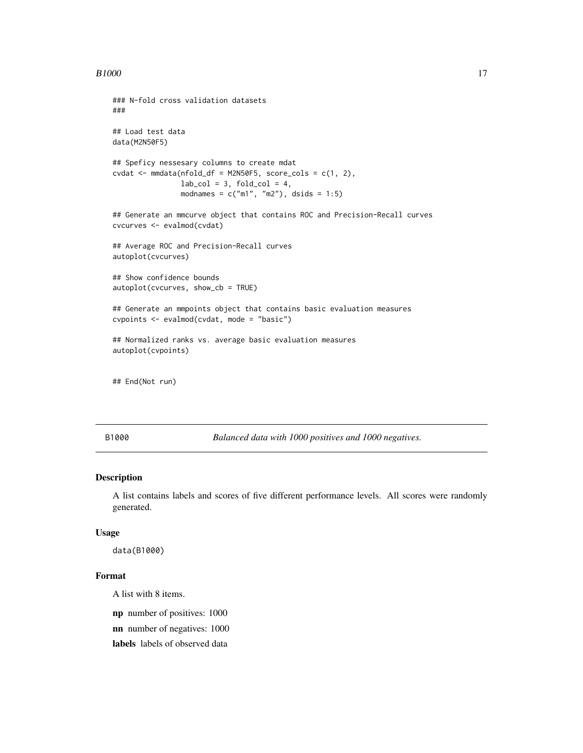```
### N-fold cross validation datasets
###
## Load test data
data(M2N50F5)
## Speficy nessesary columns to create mdat
\text{cvdat} \leq \text{mmdata}(\text{nfold\_df} = \text{M2N50F5}, \text{score\_cols} = \text{c}(1, 2),lab\_col = 3, fold\_col = 4,
                 modnames = c("m1", "m2"), dsids = 1:5)
## Generate an mmcurve object that contains ROC and Precision-Recall curves
cvcurves <- evalmod(cvdat)
## Average ROC and Precision-Recall curves
autoplot(cvcurves)
## Show confidence bounds
autoplot(cvcurves, show_cb = TRUE)
## Generate an mmpoints object that contains basic evaluation measures
cvpoints <- evalmod(cvdat, mode = "basic")
## Normalized ranks vs. average basic evaluation measures
autoplot(cvpoints)
```
## End(Not run)

B1000 *Balanced data with 1000 positives and 1000 negatives.*

### Description

A list contains labels and scores of five different performance levels. All scores were randomly generated.

### Usage

data(B1000)

### Format

A list with 8 items.

np number of positives: 1000

nn number of negatives: 1000

labels labels of observed data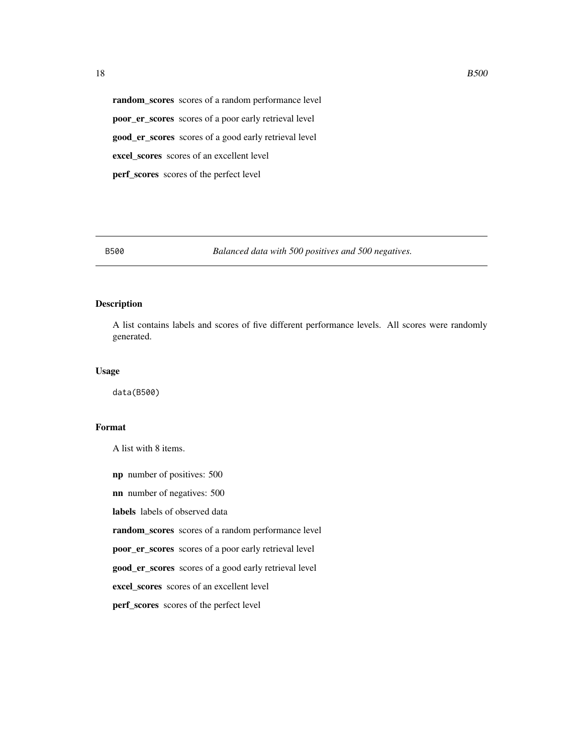<span id="page-17-0"></span>random\_scores scores of a random performance level poor\_er\_scores scores of a poor early retrieval level good\_er\_scores scores of a good early retrieval level excel\_scores scores of an excellent level perf\_scores scores of the perfect level

B500 *Balanced data with 500 positives and 500 negatives.*

### Description

A list contains labels and scores of five different performance levels. All scores were randomly generated.

### Usage

data(B500)

### Format

A list with 8 items.

np number of positives: 500 nn number of negatives: 500

labels labels of observed data

random\_scores scores of a random performance level

poor\_er\_scores scores of a poor early retrieval level

good\_er\_scores scores of a good early retrieval level

excel\_scores scores of an excellent level

perf\_scores scores of the perfect level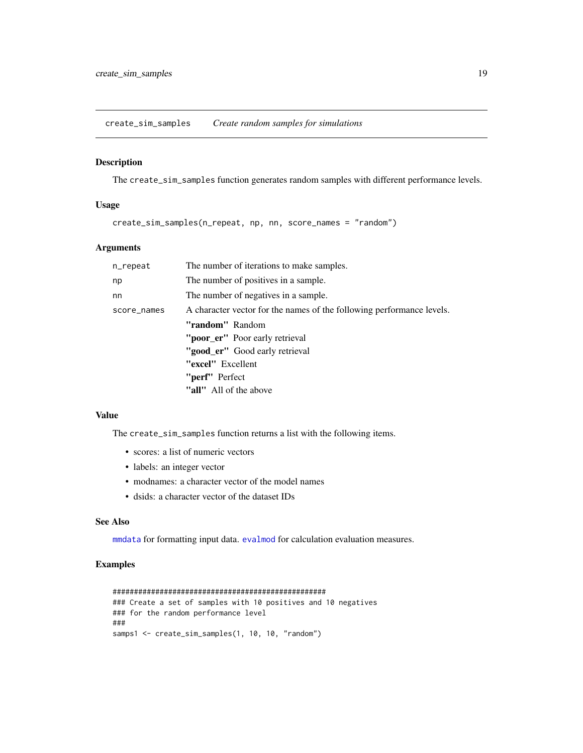<span id="page-18-1"></span><span id="page-18-0"></span>create\_sim\_samples *Create random samples for simulations*

### Description

The create\_sim\_samples function generates random samples with different performance levels.

### Usage

create\_sim\_samples(n\_repeat, np, nn, score\_names = "random")

### Arguments

| n_repeat    | The number of iterations to make samples.                             |
|-------------|-----------------------------------------------------------------------|
| np          | The number of positives in a sample.                                  |
| nn          | The number of negatives in a sample.                                  |
| score_names | A character vector for the names of the following performance levels. |
|             | "random" Random                                                       |
|             | "poor_er" Poor early retrieval                                        |
|             | "good er" Good early retrieval                                        |
|             | "excel" Excellent                                                     |
|             | "perf" Perfect                                                        |
|             | "all" All of the above                                                |

### Value

The create\_sim\_samples function returns a list with the following items.

- scores: a list of numeric vectors
- labels: an integer vector
- modnames: a character vector of the model names
- dsids: a character vector of the dataset IDs

### See Also

[mmdata](#page-36-1) for formatting input data. [evalmod](#page-19-1) for calculation evaluation measures.

### Examples

```
##################################################
### Create a set of samples with 10 positives and 10 negatives
### for the random performance level
###
samps1 <- create_sim_samples(1, 10, 10, "random")
```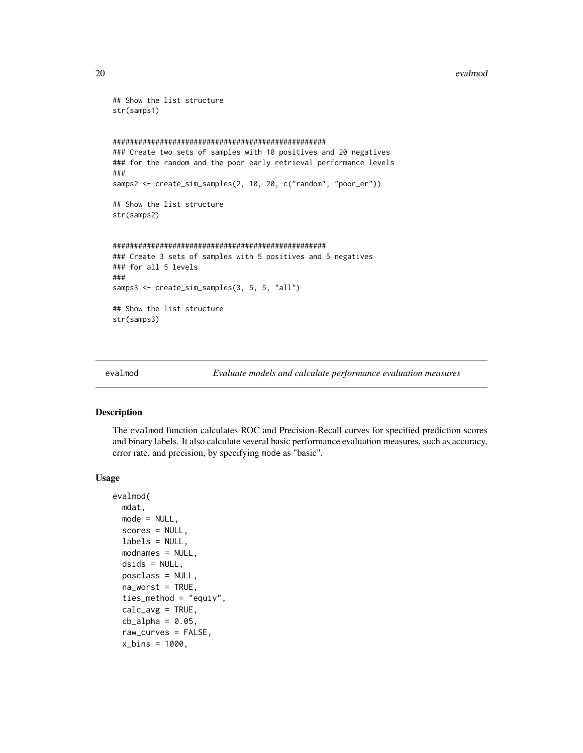#### <span id="page-19-0"></span>20 evalmod evaluation of the contract of the contract of the contract of the contract of the contract of the contract of the contract of the contract of the contract of the contract of the contract of the contract of the c

```
## Show the list structure
str(samps1)
##################################################
### Create two sets of samples with 10 positives and 20 negatives
### for the random and the poor early retrieval performance levels
###
samps2 <- create_sim_samples(2, 10, 20, c("random", "poor_er"))
## Show the list structure
str(samps2)
##################################################
### Create 3 sets of samples with 5 positives and 5 negatives
### for all 5 levels
###
samps3 <- create_sim_samples(3, 5, 5, "all")
## Show the list structure
str(samps3)
```
<span id="page-19-1"></span>

```
evalmod Evaluate models and calculate performance evaluation measures
```
### Description

The evalmod function calculates ROC and Precision-Recall curves for specified prediction scores and binary labels. It also calculate several basic performance evaluation measures, such as accuracy, error rate, and precision, by specifying mode as "basic".

#### Usage

```
evalmod(
 mdat,
 mode = NULL,scores = NULL,
  labels = NULL,modnames = NULL,
 dsids = NULL,posclass = NULL,
  na_worst = TRUE,
  ties_method = "equiv",
  calc_avg = TRUE,cb_alpha = 0.05,
  raw_curves = FALSE,
  x_{\text{bins}} = 1000,
```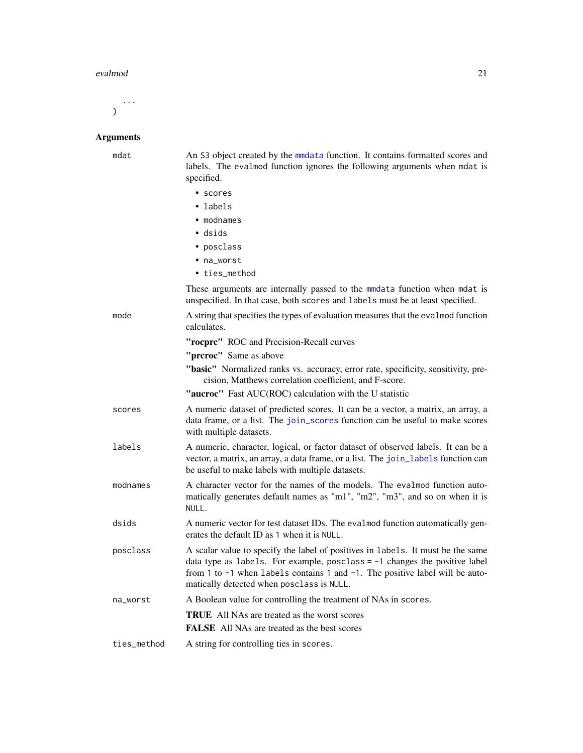#### <span id="page-20-0"></span>evalmod 21

...  $\overline{)}$ 

## Arguments

| mdat        | An S3 object created by the mmdata function. It contains formatted scores and<br>labels. The evalmod function ignores the following arguments when mdat is<br>specified.                                                                                                                     |
|-------------|----------------------------------------------------------------------------------------------------------------------------------------------------------------------------------------------------------------------------------------------------------------------------------------------|
|             | • scores                                                                                                                                                                                                                                                                                     |
|             | • labels                                                                                                                                                                                                                                                                                     |
|             | • modnames                                                                                                                                                                                                                                                                                   |
|             | • dsids                                                                                                                                                                                                                                                                                      |
|             | • posclass                                                                                                                                                                                                                                                                                   |
|             | • na_worst                                                                                                                                                                                                                                                                                   |
|             | • ties_method                                                                                                                                                                                                                                                                                |
|             | These arguments are internally passed to the mmdata function when mdat is<br>unspecified. In that case, both scores and labels must be at least specified.                                                                                                                                   |
| mode        | A string that specifies the types of evaluation measures that the evalmod function<br>calculates.                                                                                                                                                                                            |
|             | "rocprc" ROC and Precision-Recall curves                                                                                                                                                                                                                                                     |
|             | "prcroc" Same as above                                                                                                                                                                                                                                                                       |
|             | "basic" Normalized ranks vs. accuracy, error rate, specificity, sensitivity, pre-<br>cision, Matthews correlation coefficient, and F-score.                                                                                                                                                  |
|             | "aucroc" Fast AUC(ROC) calculation with the U statistic                                                                                                                                                                                                                                      |
| scores      | A numeric dataset of predicted scores. It can be a vector, a matrix, an array, a<br>data frame, or a list. The join_scores function can be useful to make scores<br>with multiple datasets.                                                                                                  |
| labels      | A numeric, character, logical, or factor dataset of observed labels. It can be a<br>vector, a matrix, an array, a data frame, or a list. The join_labels function can<br>be useful to make labels with multiple datasets.                                                                    |
| modnames    | A character vector for the names of the models. The evalmod function auto-<br>matically generates default names as "m1", "m2", "m3", and so on when it is<br>NULL.                                                                                                                           |
| dsids       | A numeric vector for test dataset IDs. The evalmod function automatically gen-<br>erates the default ID as 1 when it is NULL.                                                                                                                                                                |
| posclass    | A scalar value to specify the label of positives in labels. It must be the same<br>data type as labels. For example, posclass $= -1$ changes the positive label<br>from 1 to -1 when labels contains 1 and -1. The positive label will be auto-<br>matically detected when posclass is NULL. |
| na_worst    | A Boolean value for controlling the treatment of NAs in scores.                                                                                                                                                                                                                              |
|             | <b>TRUE</b> All NAs are treated as the worst scores                                                                                                                                                                                                                                          |
|             | <b>FALSE</b> All NAs are treated as the best scores                                                                                                                                                                                                                                          |
| ties_method | A string for controlling ties in scores.                                                                                                                                                                                                                                                     |
|             |                                                                                                                                                                                                                                                                                              |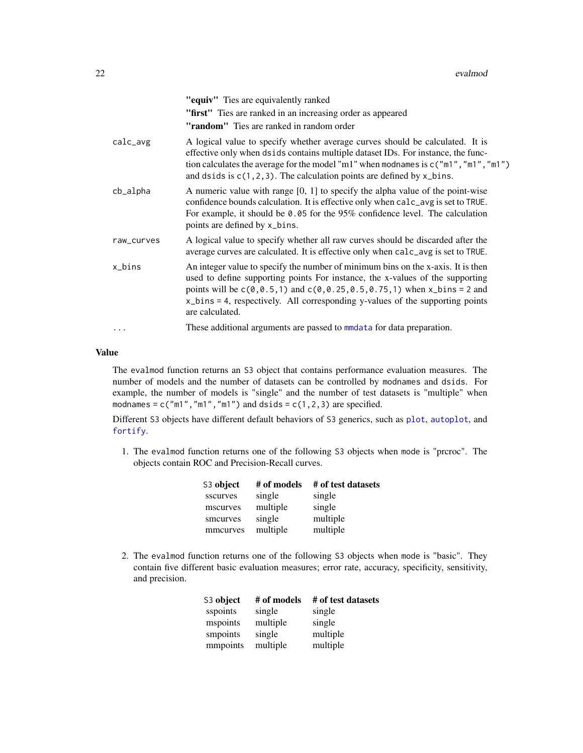<span id="page-21-0"></span>

|            | "equiv" Ties are equivalently ranked                                                                                                                                                                                                                                                                                                                      |
|------------|-----------------------------------------------------------------------------------------------------------------------------------------------------------------------------------------------------------------------------------------------------------------------------------------------------------------------------------------------------------|
|            | "first" Ties are ranked in an increasing order as appeared                                                                                                                                                                                                                                                                                                |
|            | "random" Ties are ranked in random order                                                                                                                                                                                                                                                                                                                  |
| calc_avg   | A logical value to specify whether average curves should be calculated. It is<br>effective only when dsids contains multiple dataset IDs. For instance, the func-<br>tion calculates the average for the model "m1" when modnames is $c("m1", "m1", "m1")$<br>and dsids is $c(1, 2, 3)$ . The calculation points are defined by x_bins.                   |
| cb_alpha   | A numeric value with range $[0, 1]$ to specify the alpha value of the point-wise<br>confidence bounds calculation. It is effective only when calc_avg is set to TRUE.<br>For example, it should be 0.05 for the 95% confidence level. The calculation<br>points are defined by x_bins.                                                                    |
| raw_curves | A logical value to specify whether all raw curves should be discarded after the<br>average curves are calculated. It is effective only when calc_avg is set to TRUE.                                                                                                                                                                                      |
| x_bins     | An integer value to specify the number of minimum bins on the x-axis. It is then<br>used to define supporting points For instance, the x-values of the supporting<br>points will be $c(0, 0.5, 1)$ and $c(0, 0.25, 0.5, 0.75, 1)$ when x_bins = 2 and<br>x_bins = 4, respectively. All corresponding y-values of the supporting points<br>are calculated. |
|            | These additional arguments are passed to mmdata for data preparation.                                                                                                                                                                                                                                                                                     |
|            |                                                                                                                                                                                                                                                                                                                                                           |

### Value

The evalmod function returns an S3 object that contains performance evaluation measures. The number of models and the number of datasets can be controlled by modnames and dsids. For example, the number of models is "single" and the number of test datasets is "multiple" when modnames =  $c("m1", "m1", "m1")$  and dsids =  $c(1,2,3)$  are specified.

Different S3 objects have different default behaviors of S3 generics, such as [plot](#page-45-1), [autoplot](#page-10-1), and [fortify](#page-26-1).

1. The evalmod function returns one of the following S3 objects when mode is "prcroc". The objects contain ROC and Precision-Recall curves.

| S3 object | # of models | # of test datasets |
|-----------|-------------|--------------------|
| sscurves  | single      | single             |
| mscurves  | multiple    | single             |
| smcurves  | single      | multiple           |
| mmcurves  | multiple    | multiple           |

2. The evalmod function returns one of the following S3 objects when mode is "basic". They contain five different basic evaluation measures; error rate, accuracy, specificity, sensitivity, and precision.

| S3 object | # of models | # of test datasets |
|-----------|-------------|--------------------|
| sspoints  | single      | single             |
| mspoints  | multiple    | single             |
| smpoints  | single      | multiple           |
| mmpoints  | multiple    | multiple           |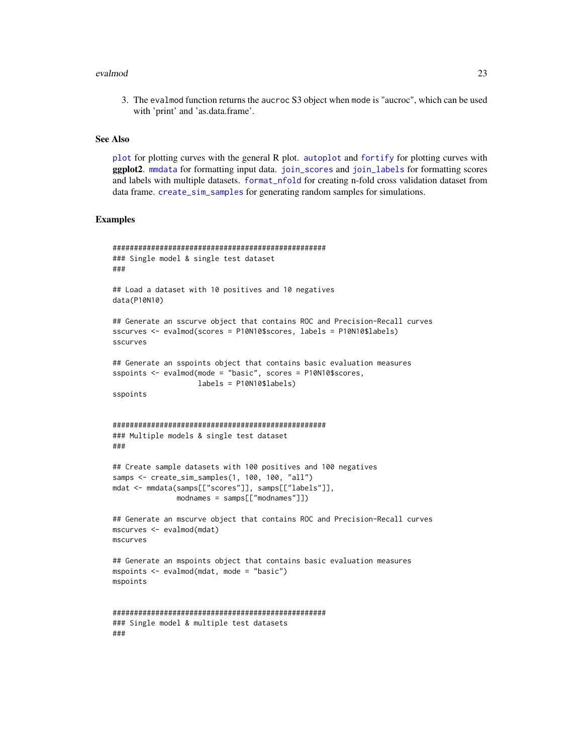#### <span id="page-22-0"></span>evalmod 23

3. The evalmod function returns the aucroc S3 object when mode is "aucroc", which can be used with 'print' and 'as.data.frame'.

#### See Also

[plot](#page-45-1) for plotting curves with the general R plot. [autoplot](#page-10-1) and [fortify](#page-26-1) for plotting curves with ggplot2. [mmdata](#page-36-1) for formatting input data. [join\\_scores](#page-34-1) and [join\\_labels](#page-33-1) for formatting scores and labels with multiple datasets. [format\\_nfold](#page-24-1) for creating n-fold cross validation dataset from data frame. [create\\_sim\\_samples](#page-18-1) for generating random samples for simulations.

### Examples

```
##################################################
### Single model & single test dataset
###
## Load a dataset with 10 positives and 10 negatives
data(P10N10)
## Generate an sscurve object that contains ROC and Precision-Recall curves
sscurves <- evalmod(scores = P10N10$scores, labels = P10N10$labels)
sscurves
## Generate an sspoints object that contains basic evaluation measures
sspoints <- evalmod(mode = "basic", scores = P10N10$scores,
                    labels = P10N10$labels)
sspoints
##################################################
### Multiple models & single test dataset
###
## Create sample datasets with 100 positives and 100 negatives
samps <- create_sim_samples(1, 100, 100, "all")
mdat <- mmdata(samps[["scores"]], samps[["labels"]],
               modnames = samps[["modnames"]])
## Generate an mscurve object that contains ROC and Precision-Recall curves
mscurves <- evalmod(mdat)
mscurves
## Generate an mspoints object that contains basic evaluation measures
mspoints <- evalmod(mdat, mode = "basic")
mspoints
##################################################
### Single model & multiple test datasets
###
```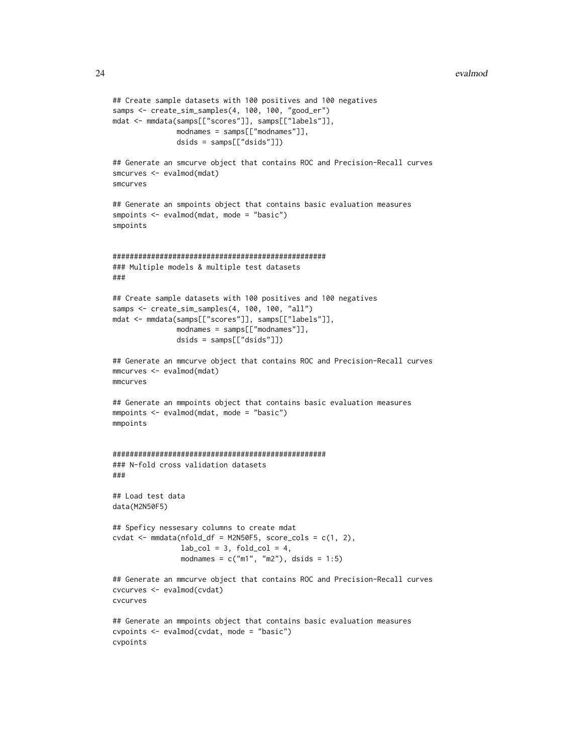```
## Create sample datasets with 100 positives and 100 negatives
samps <- create_sim_samples(4, 100, 100, "good_er")
mdat <- mmdata(samps[["scores"]], samps[["labels"]],
              modnames = samps[["modnames"]],
               dsids = samps[["dsids"]])
## Generate an smcurve object that contains ROC and Precision-Recall curves
smcurves <- evalmod(mdat)
smcurves
## Generate an smpoints object that contains basic evaluation measures
smpoints <- evalmod(mdat, mode = "basic")
smpoints
##################################################
### Multiple models & multiple test datasets
###
## Create sample datasets with 100 positives and 100 negatives
samps <- create_sim_samples(4, 100, 100, "all")
mdat <- mmdata(samps[["scores"]], samps[["labels"]],
              modnames = samps[["modnames"]],
               dsids = samps[["dsids"]])
## Generate an mmcurve object that contains ROC and Precision-Recall curves
mmcurves <- evalmod(mdat)
mmcurves
## Generate an mmpoints object that contains basic evaluation measures
mmpoints <- evalmod(mdat, mode = "basic")
mmpoints
##################################################
### N-fold cross validation datasets
###
## Load test data
data(M2N50F5)
## Speficy nessesary columns to create mdat
cvdat < - mmdata(nfold_df = M2N50F5, score_cols = c(1, 2),
                lab\_col = 3, fold\_col = 4,
                modnames = c("m1", "m2"), dsids = 1:5)
## Generate an mmcurve object that contains ROC and Precision-Recall curves
cvcurves <- evalmod(cvdat)
cvcurves
## Generate an mmpoints object that contains basic evaluation measures
cvpoints <- evalmod(cvdat, mode = "basic")
cvpoints
```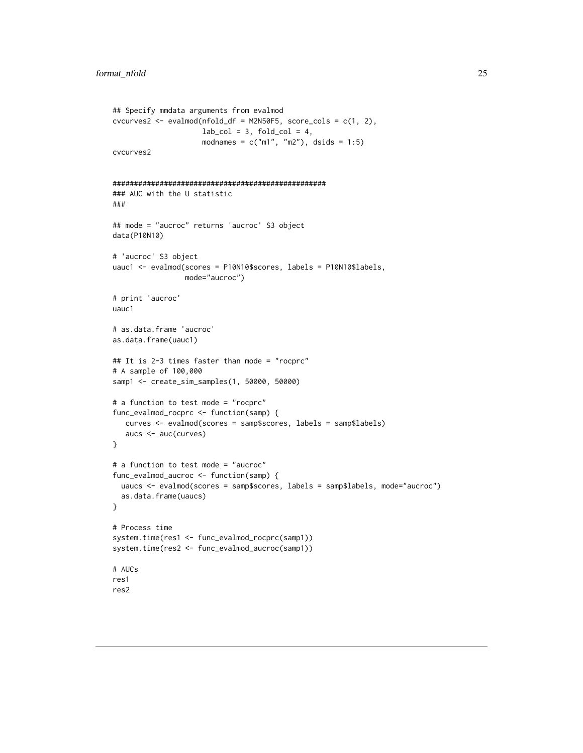```
## Specify mmdata arguments from evalmod
cvcurves2 <- evalmod(nfold_df = M2N50F5, score_cols = c(1, 2),
                    lab\_col = 3, fold\_col = 4,
                     modnames = c("m1", "m2"), dsids = 1:5)
cvcurves2
##################################################
### AUC with the U statistic
###
## mode = "aucroc" returns 'aucroc' S3 object
data(P10N10)
# 'aucroc' S3 object
uauc1 <- evalmod(scores = P10N10$scores, labels = P10N10$labels,
                 mode="aucroc")
# print 'aucroc'
uauc1
# as.data.frame 'aucroc'
as.data.frame(uauc1)
## It is 2-3 times faster than mode = "rocprc"
# A sample of 100,000
samp1 <- create_sim_samples(1, 50000, 50000)
# a function to test mode = "rocprc"
func_evalmod_rocprc <- function(samp) {
  curves <- evalmod(scores = samp$scores, labels = samp$labels)
   aucs <- auc(curves)
}
# a function to test mode = "aucroc"
func_evalmod_aucroc <- function(samp) {
  uaucs <- evalmod(scores = samp$scores, labels = samp$labels, mode="aucroc")
  as.data.frame(uaucs)
}
# Process time
system.time(res1 <- func_evalmod_rocprc(samp1))
system.time(res2 <- func_evalmod_aucroc(samp1))
# AUCs
res1
res2
```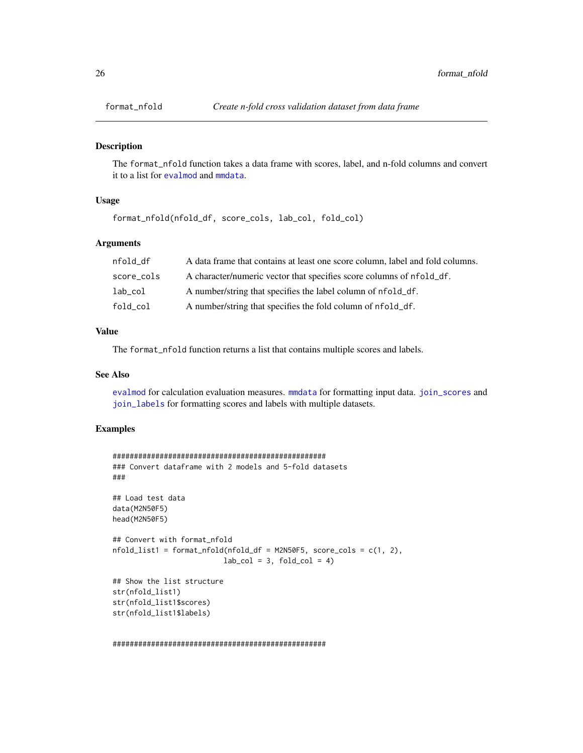<span id="page-25-0"></span>

### Description

The format\_nfold function takes a data frame with scores, label, and n-fold columns and convert it to a list for [evalmod](#page-19-1) and [mmdata](#page-36-1).

### Usage

```
format_nfold(nfold_df, score_cols, lab_col, fold_col)
```
#### Arguments

| nfold df   | A data frame that contains at least one score column, label and fold columns. |
|------------|-------------------------------------------------------------------------------|
| score_cols | A character/numeric vector that specifies score columns of nfold df.          |
| lab_col    | A number/string that specifies the label column of nfold_df.                  |
| fold_col   | A number/string that specifies the fold column of nfold_df.                   |

### Value

The format\_nfold function returns a list that contains multiple scores and labels.

#### See Also

[evalmod](#page-19-1) for calculation evaluation measures. [mmdata](#page-36-1) for formatting input data. [join\\_scores](#page-34-1) and [join\\_labels](#page-33-1) for formatting scores and labels with multiple datasets.

### Examples

```
##################################################
### Convert dataframe with 2 models and 5-fold datasets
###
## Load test data
data(M2N50F5)
head(M2N50F5)
## Convert with format_nfold
nfold_list1 = format_nfold(nfold_df = M2N50F5, score_cols = c(1, 2),
                          lab\_col = 3, fold\_col = 4)
## Show the list structure
str(nfold_list1)
str(nfold_list1$scores)
str(nfold_list1$labels)
```
##################################################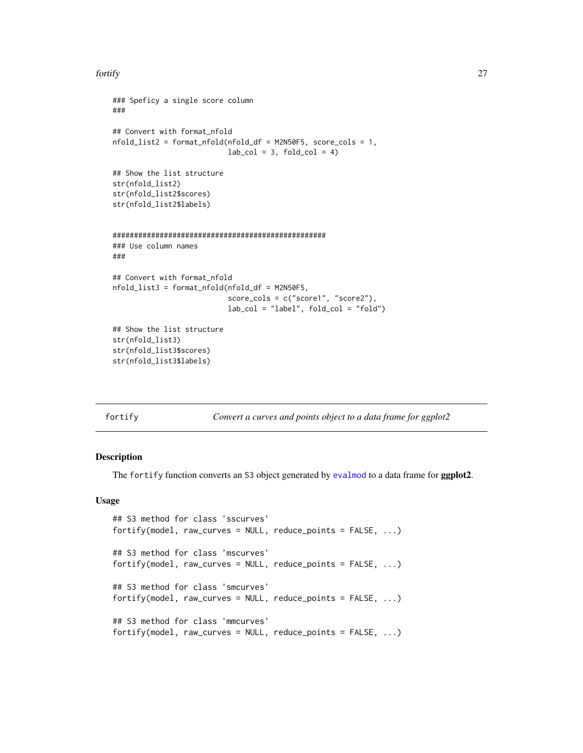#### <span id="page-26-0"></span>fortify the contract of the contract of the contract of the contract of the contract of the contract of the contract of the contract of the contract of the contract of the contract of the contract of the contract of the co

```
### Speficy a single score column
###
## Convert with format_nfold
nfold_list2 = format_nfold(nfold_df = M2N50F5, score_cols = 1,
                           lab\_col = 3, fold\_col = 4## Show the list structure
str(nfold_list2)
str(nfold_list2$scores)
str(nfold_list2$labels)
##################################################
### Use column names
###
## Convert with format_nfold
nfold_list3 = format_nfold(nfold_df = M2N50F5,
                           score_cols = c("score1", "score2"),
                           lab_col = "label", fold_col = "fold")
## Show the list structure
str(nfold_list3)
str(nfold_list3$scores)
str(nfold_list3$labels)
```
<span id="page-26-1"></span>

| г<br>or | J<br>1 |
|---------|--------|
|         |        |

Convert a curves and points object to a data frame for ggplot2

### Description

The fortify function converts an S3 object generated by [evalmod](#page-19-1) to a data frame for ggplot2.

#### Usage

```
## S3 method for class 'sscurves'
fortify(model, raw_curves = NULL, reduce_points = FALSE, ...)
## S3 method for class 'mscurves'
fortify(model, raw_curves = NULL, reduce_points = FALSE, ...)
## S3 method for class 'smcurves'
fortify(model, raw_curves = NULL, reduce_points = FALSE, ...)
## S3 method for class 'mmcurves'
fortify(model, raw_curves = NULL, reduce_points = FALSE, ...)
```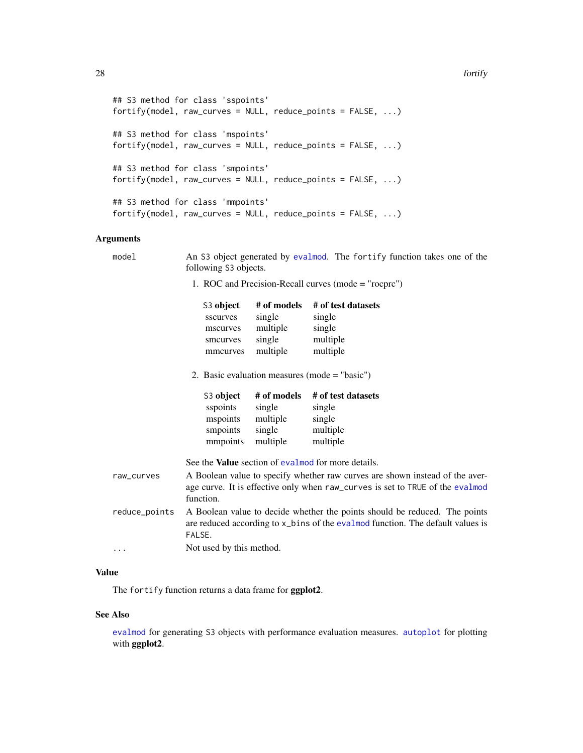### <span id="page-27-0"></span>28 fortify and the contract of the contract of the contract of the contract of the contract of the contract of the contract of the contract of the contract of the contract of the contract of the contract of the contract of

```
## S3 method for class 'sspoints'
fortify(model, raw_curves = NULL, reduce_points = FALSE, ...)
## S3 method for class 'mspoints'
fortify(model, raw_curves = NULL, reduce_points = FALSE, ...)
## S3 method for class 'smpoints'
fortify(model, raw_curves = NULL, reduce_points = FALSE, ...)
## S3 method for class 'mmpoints'
fortify(model, raw_curves = NULL, reduce_points = FALSE, ...)
```
### Arguments

| model         | An S3 object generated by evalmod. The fortify function takes one of the<br>following S3 objects.                                                                          |                                                         |                                                                |
|---------------|----------------------------------------------------------------------------------------------------------------------------------------------------------------------------|---------------------------------------------------------|----------------------------------------------------------------|
|               | 1. ROC and Precision-Recall curves (mode = "rocprc")                                                                                                                       |                                                         |                                                                |
|               | S <sub>3</sub> object<br>sscurves<br>mscurves<br>smcurves<br>mmcurves                                                                                                      | # of models<br>single<br>multiple<br>single<br>multiple | # of test datasets<br>single<br>single<br>multiple<br>multiple |
|               | 2. Basic evaluation measures (mode $=$ "basic")                                                                                                                            |                                                         |                                                                |
|               | S3 object<br>sspoints<br>mspoints<br>smpoints<br>mmpoints                                                                                                                  | # of models<br>single<br>multiple<br>single<br>multiple | # of test datasets<br>single<br>single<br>multiple<br>multiple |
|               |                                                                                                                                                                            |                                                         | See the <b>Value</b> section of evalmod for more details.      |
| raw_curves    | A Boolean value to specify whether raw curves are shown instead of the aver-<br>age curve. It is effective only when raw_curves is set to TRUE of the evalmod<br>function. |                                                         |                                                                |
| reduce_points | A Boolean value to decide whether the points should be reduced. The points<br>are reduced according to x_bins of the eval mod function. The default values is<br>FALSE.    |                                                         |                                                                |
| .             | Not used by this method.                                                                                                                                                   |                                                         |                                                                |

### Value

The fortify function returns a data frame for ggplot2.

### See Also

[evalmod](#page-19-1) for generating S3 objects with performance evaluation measures. [autoplot](#page-10-1) for plotting with ggplot2.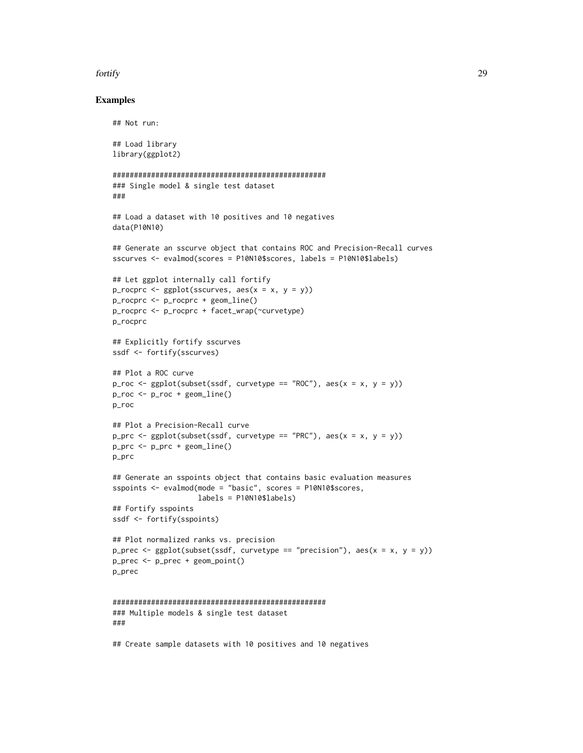### fortify the contract of the contract of the contract of the contract of the contract of the contract of the contract of the contract of the contract of the contract of the contract of the contract of the contract of the co

### Examples

```
## Not run:
## Load library
library(ggplot2)
##################################################
### Single model & single test dataset
###
## Load a dataset with 10 positives and 10 negatives
data(P10N10)
## Generate an sscurve object that contains ROC and Precision-Recall curves
sscurves <- evalmod(scores = P10N10$scores, labels = P10N10$labels)
## Let ggplot internally call fortify
p_rocprc <- ggplot(sscurves, acs(x = x, y = y))p_rocprc <- p_rocprc + geom_line()
p_rocprc <- p_rocprc + facet_wrap(~curvetype)
p_rocprc
## Explicitly fortify sscurves
ssdf <- fortify(sscurves)
## Plot a ROC curve
p_roc <- ggplot(subset(ssdf, curvetype == "ROC"), aes(x = x, y = y))
p_{\text{roc}} \leftarrow p_{\text{roc}} + \text{geom\_line}()p_roc
## Plot a Precision-Recall curve
p_prc <- ggplot(subset(spdf, curvetype == "PRC"), aes(x = x, y = y))p_prc <- p_prc + geom_line()
p_prc
## Generate an sspoints object that contains basic evaluation measures
sspoints <- evalmod(mode = "basic", scores = P10N10$scores,
                    labels = P10N10$labels)
## Fortify sspoints
ssdf <- fortify(sspoints)
## Plot normalized ranks vs. precision
p_prec <- ggplot(subset(spdf, curvetype == "precision"), aes(x = x, y = y))p_prec <- p_prec + geom_point()
p_prec
##################################################
### Multiple models & single test dataset
###
```
## Create sample datasets with 10 positives and 10 negatives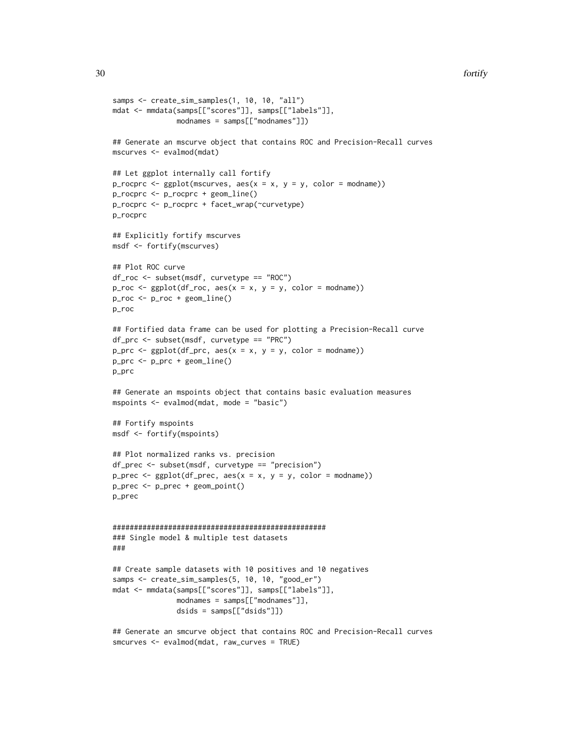```
samps <- create_sim_samples(1, 10, 10, "all")
mdat <- mmdata(samps[["scores"]], samps[["labels"]],
               modnames = samps[["modnames"]])
## Generate an mscurve object that contains ROC and Precision-Recall curves
mscurves <- evalmod(mdat)
## Let ggplot internally call fortify
p_rocprc <- ggplot(mscurves, aes(x = x, y = y, color = modname))p_rocprc <- p_rocprc + geom_line()
p_rocprc <- p_rocprc + facet_wrap(~curvetype)
p_rocprc
## Explicitly fortify mscurves
msdf <- fortify(mscurves)
## Plot ROC curve
df_roc <- subset(msdf, curvetype == "ROC")
p_{\text{roc}} \leftarrow \text{ggplot}(df_{\text{roc}}, \text{aes}(x = x, y = y, \text{ color} = \text{modname}))p_roc <- p_roc + geom_line()
p_roc
## Fortified data frame can be used for plotting a Precision-Recall curve
df_prc <- subset(msdf, curvetype == "PRC")
p\_prc \leftarrow ggplot(df\_prc, \text{aes}(x = x, y = y, \text{ color} = \text{modname}))p_prc <- p_prc + geom_line()
p_prc
## Generate an mspoints object that contains basic evaluation measures
mspoints <- evalmod(mdat, mode = "basic")
## Fortify mspoints
msdf <- fortify(mspoints)
## Plot normalized ranks vs. precision
df_prec <- subset(msdf, curvetype == "precision")
p_{p}rec <- gphot(df_{p}rec, aes(x = x, y = y, color = modname))p_prec <- p_prec + geom_point()
p_prec
##################################################
### Single model & multiple test datasets
###
## Create sample datasets with 10 positives and 10 negatives
samps <- create_sim_samples(5, 10, 10, "good_er")
mdat <- mmdata(samps[["scores"]], samps[["labels"]],
               modnames = samps[["modnames"]],
                dsids = samps[["dsids"]])
## Generate an smcurve object that contains ROC and Precision-Recall curves
```

```
smcurves <- evalmod(mdat, raw_curves = TRUE)
```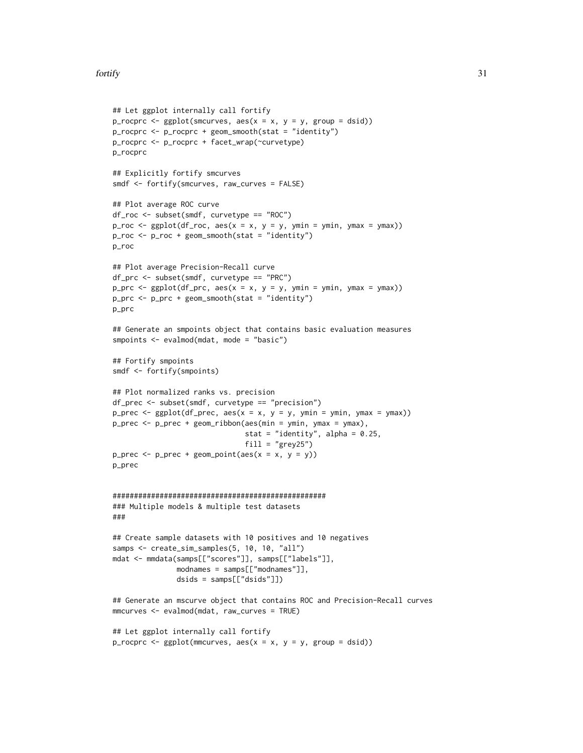### fortify 31

```
## Let ggplot internally call fortify
p_rocprc <- ggplot(smcuvves, aes(x = x, y = y, group = dsid))p_rocprc <- p_rocprc + geom_smooth(stat = "identity")
p_rocprc <- p_rocprc + facet_wrap(~curvetype)
p_rocprc
## Explicitly fortify smcurves
smdf <- fortify(smcurves, raw_curves = FALSE)
## Plot average ROC curve
df_roc <- subset(smdf, curvetype == "ROC")
p\_roc \leq ggplot(df\_roc, aes(x = x, y = y, ymin = ymin, ymax = ymax))p_{\text{r}} \leq p_{\text{r}} \leq p_{\text{r}} \leq p_{\text{r}} \leq p_{\text{r}} \leq p_{\text{r}} \leq p_{\text{r}} \leq p_{\text{r}} \leq p_{\text{r}} \leq p_{\text{r}} \leq p_{\text{r}} \leq p_{\text{r}} \leq p_{\text{r}} \leq p_{\text{r}} \lep_roc
## Plot average Precision-Recall curve
df_prc <- subset(smdf, curvetype == "PRC")
p\_prc \leq ggplot(df\_prc, aes(x = x, y = y, ymin = ymin, ymax = ymax))p_prc <- p_prc + geom_smooth(stat = "identity")
p_prc
## Generate an smpoints object that contains basic evaluation measures
smpoints <- evalmod(mdat, mode = "basic")
## Fortify smpoints
smdf <- fortify(smpoints)
## Plot normalized ranks vs. precision
df_prec <- subset(smdf, curvetype == "precision")
p\_prec \leftarrow gghot(df\_prec, aes(x = x, y = y, ymin = ymin, ymax = ymax))p_prec <- p_prec + geom_ribbon(aes(min = ymin, ymax = ymax),
                                   stat = "identity", alpha = 0.25,
                                   fill = "grey25")p\_prec \leftarrow p\_prec + geom\_point(aes(x = x, y = y))p_prec
##################################################
### Multiple models & multiple test datasets
###
## Create sample datasets with 10 positives and 10 negatives
samps <- create_sim_samples(5, 10, 10, "all")
mdat <- mmdata(samps[["scores"]], samps[["labels"]],
                 modnames = samps[["modnames"]],
                 dsids = samps[["dsids"]])
## Generate an mscurve object that contains ROC and Precision-Recall curves
mmcurves <- evalmod(mdat, raw_curves = TRUE)
## Let ggplot internally call fortify
p_rocprc <- ggplot(mmcurves, aes(x = x, y = y, group = dist))
```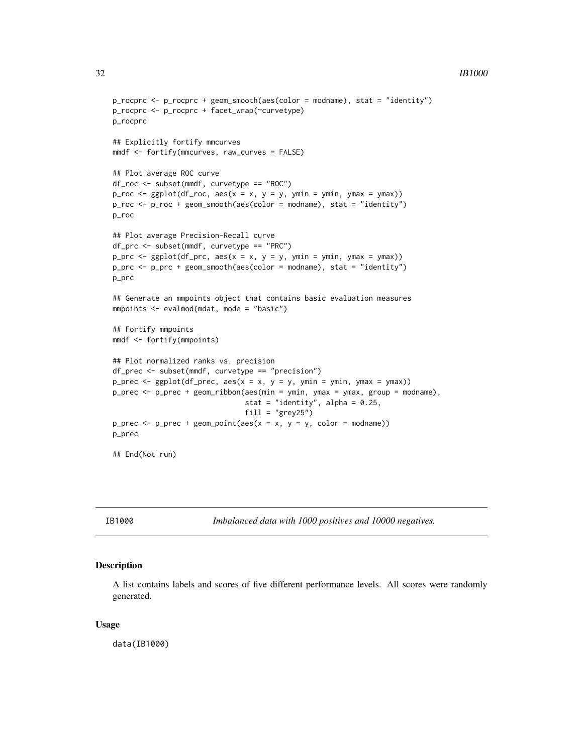### $32$  IB1000

```
p_rocprc <- p_rocprc + geom_smooth(aes(color = modname), stat = "identity")
p_rocprc <- p_rocprc + facet_wrap(~curvetype)
p_rocprc
## Explicitly fortify mmcurves
mmdf <- fortify(mmcurves, raw_curves = FALSE)
## Plot average ROC curve
df_roc <- subset(mmdf, curvetype == "ROC")
p\_roc \leq ggplot(df\_roc, aes(x = x, y = y, ymin = ymin, ymax = ymax))p_roc <- p_roc + geom_smooth(aes(color = modname), stat = "identity")
p_roc
## Plot average Precision-Recall curve
df_prc <- subset(mmdf, curvetype == "PRC")
p\_prc \leq ggbot(df\_prc, aes(x = x, y = y, ymin = ymin, ymax = ymax))p_prc <- p_prc + geom_smooth(aes(color = modname), stat = "identity")
p_prc
## Generate an mmpoints object that contains basic evaluation measures
mmpoints <- evalmod(mdat, mode = "basic")
## Fortify mmpoints
mmdf <- fortify(mmpoints)
## Plot normalized ranks vs. precision
df_prec <- subset(mmdf, curvetype == "precision")
p\_prec \leftarrow ggblot(df\_prec, aes(x = x, y = y, ymin = ymin, ymax = ymax))p_prec <- p_prec + geom_ribbon(aes(min = ymin, ymax = ymax, group = modname),
                               stat = "identity", alpha = 0.25,
                               fill = "grey25")p_prec <- p_prec + geom_point(aes(x = x, y = y, color = modname))
p_prec
## End(Not run)
```
IB1000 *Imbalanced data with 1000 positives and 10000 negatives.*

### Description

A list contains labels and scores of five different performance levels. All scores were randomly generated.

#### Usage

data(IB1000)

<span id="page-31-0"></span>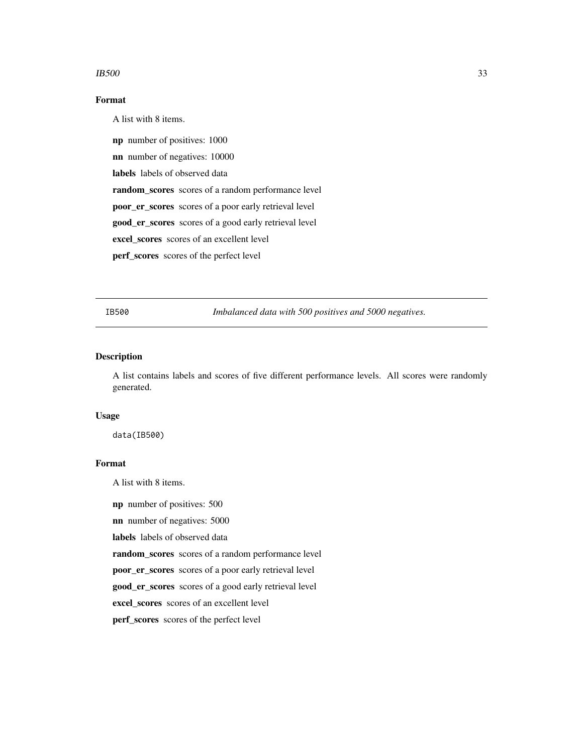#### <span id="page-32-0"></span> $IB500$  33

### Format

A list with 8 items.

np number of positives: 1000

nn number of negatives: 10000

labels labels of observed data

random\_scores scores of a random performance level

poor\_er\_scores scores of a poor early retrieval level

good\_er\_scores scores of a good early retrieval level

excel\_scores scores of an excellent level

perf\_scores scores of the perfect level

IB500 *Imbalanced data with 500 positives and 5000 negatives.*

### Description

A list contains labels and scores of five different performance levels. All scores were randomly generated.

### Usage

data(IB500)

#### Format

A list with 8 items.

np number of positives: 500

nn number of negatives: 5000

labels labels of observed data

random\_scores scores of a random performance level

poor\_er\_scores scores of a poor early retrieval level

good\_er\_scores scores of a good early retrieval level

excel\_scores scores of an excellent level

perf\_scores scores of the perfect level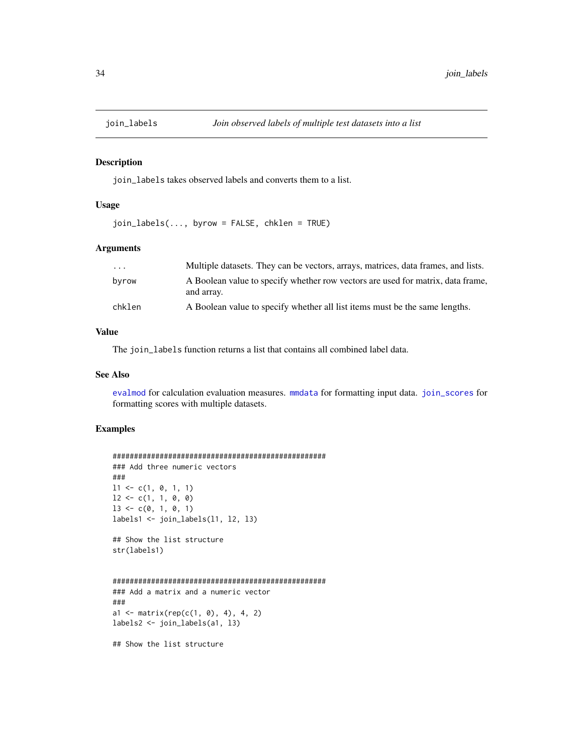<span id="page-33-1"></span><span id="page-33-0"></span>

### Description

join\_labels takes observed labels and converts them to a list.

### Usage

 $join_labels(..., byrow = FALSE, chklen = TRUE)$ 

#### Arguments

| .      | Multiple datasets. They can be vectors, arrays, matrices, data frames, and lists.             |
|--------|-----------------------------------------------------------------------------------------------|
| byrow  | A Boolean value to specify whether row vectors are used for matrix, data frame,<br>and array. |
| chklen | A Boolean value to specify whether all list items must be the same lengths.                   |

### Value

The join\_labels function returns a list that contains all combined label data.

#### See Also

[evalmod](#page-19-1) for calculation evaluation measures. [mmdata](#page-36-1) for formatting input data. [join\\_scores](#page-34-1) for formatting scores with multiple datasets.

### Examples

```
##################################################
### Add three numeric vectors
###
11 \leftarrow c(1, 0, 1, 1)12 \leftarrow c(1, 1, 0, 0)13 \leq c(0, 1, 0, 1)labels1 <- join_labels(l1, l2, l3)
## Show the list structure
str(labels1)
##################################################
### Add a matrix and a numeric vector
###
a1 <- matrix(rep(c(1, 0), 4), 4, 2)
labels2 <- join_labels(a1, l3)
## Show the list structure
```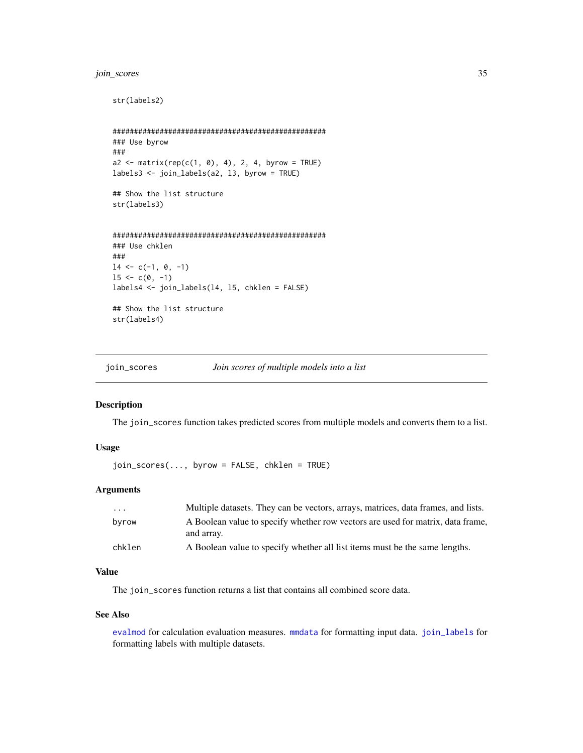### <span id="page-34-0"></span>join\_scores 35

```
str(labels2)
##################################################
### Use byrow
###
a2 \le matrix(rep(c(1, 0), 4), 2, 4, byrow = TRUE)
labels3 <- join_labels(a2, l3, byrow = TRUE)
## Show the list structure
str(labels3)
##################################################
### Use chklen
###
14 \leftarrow c(-1, 0, -1)15 \le c(0, -1)labels4 <- join_labels(l4, l5, chklen = FALSE)
## Show the list structure
str(labels4)
```
<span id="page-34-1"></span>join\_scores *Join scores of multiple models into a list*

### Description

The join\_scores function takes predicted scores from multiple models and converts them to a list.

### Usage

```
join_scores(..., byrow = FALSE, chklen = TRUE)
```
### Arguments

| $\cdots$ | Multiple datasets. They can be vectors, arrays, matrices, data frames, and lists.             |
|----------|-----------------------------------------------------------------------------------------------|
| byrow    | A Boolean value to specify whether row vectors are used for matrix, data frame,<br>and array. |
| chklen   | A Boolean value to specify whether all list items must be the same lengths.                   |

### Value

The join\_scores function returns a list that contains all combined score data.

### See Also

[evalmod](#page-19-1) for calculation evaluation measures. [mmdata](#page-36-1) for formatting input data. [join\\_labels](#page-33-1) for formatting labels with multiple datasets.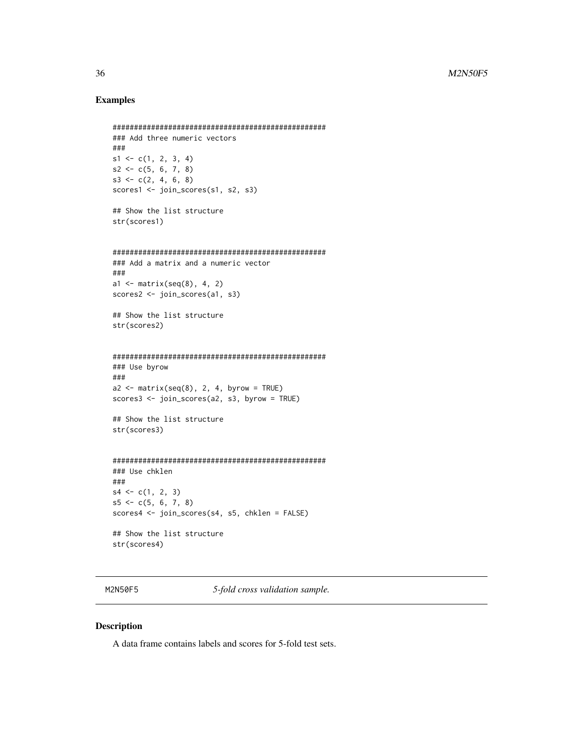### <span id="page-35-0"></span>Examples

```
##################################################
### Add three numeric vectors
###
s1 \leq c(1, 2, 3, 4)s2 \leq -c(5, 6, 7, 8)s3 \leftarrow c(2, 4, 6, 8)scores1 <- join_scores(s1, s2, s3)
## Show the list structure
str(scores1)
##################################################
### Add a matrix and a numeric vector
###
a1 \leftarrow matrix(seq(8), 4, 2)
scores2 <- join_scores(a1, s3)
## Show the list structure
str(scores2)
##################################################
### Use byrow
###
a2 \le matrix(seq(8), 2, 4, byrow = TRUE)
scores3 <- join_scores(a2, s3, byrow = TRUE)
## Show the list structure
str(scores3)
##################################################
### Use chklen
###
s4 \leftarrow c(1, 2, 3)s5 \leftarrow c(5, 6, 7, 8)scores4 <- join_scores(s4, s5, chklen = FALSE)
## Show the list structure
str(scores4)
```
M2N50F5 *5-fold cross validation sample.*

### Description

A data frame contains labels and scores for 5-fold test sets.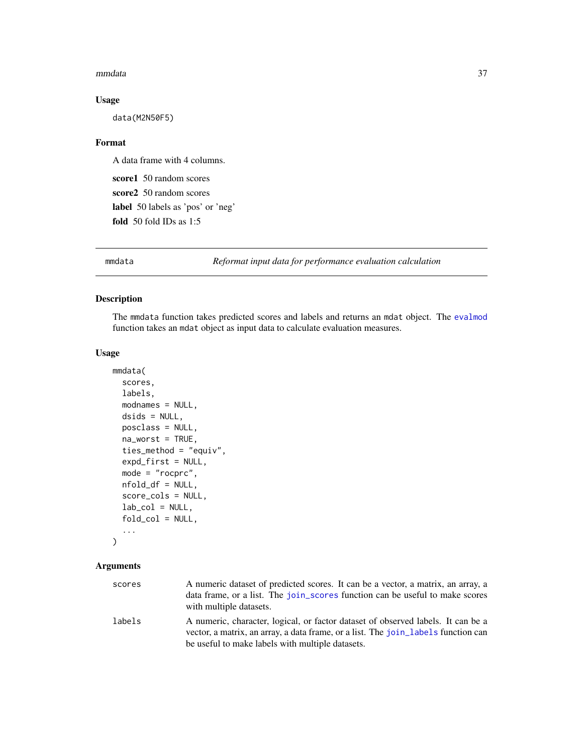#### <span id="page-36-0"></span>mmdata 37

### Usage

data(M2N50F5)

### Format

A data frame with 4 columns.

score1 50 random scores score2 50 random scores label 50 labels as 'pos' or 'neg' fold 50 fold IDs as 1:5

<span id="page-36-1"></span>mmdata *Reformat input data for performance evaluation calculation*

### Description

The mmdata function takes predicted scores and labels and returns an mdat object. The [evalmod](#page-19-1) function takes an mdat object as input data to calculate evaluation measures.

### Usage

```
mmdata(
  scores,
  labels,
 modnames = NULL,
  dsids = NULL,
  posclass = NULL,
  na_worst = TRUE,ties_method = "equiv",
  expd_first = NULL,
 mode = "rocprc",
 nfold_df = NULL,
  score_cols = NULL,
  lab\_col = NULL,fold_col = NULL,
  ...
\mathcal{L}
```
### Arguments

| scores | A numeric dataset of predicted scores. It can be a vector, a matrix, an array, a<br>data frame, or a list. The join_scores function can be useful to make scores<br>with multiple datasets. |
|--------|---------------------------------------------------------------------------------------------------------------------------------------------------------------------------------------------|
| labels | A numeric, character, logical, or factor dataset of observed labels. It can be a<br>vector, a matrix, an array, a data frame, or a list. The join labels function can                       |
|        | be useful to make labels with multiple datasets.                                                                                                                                            |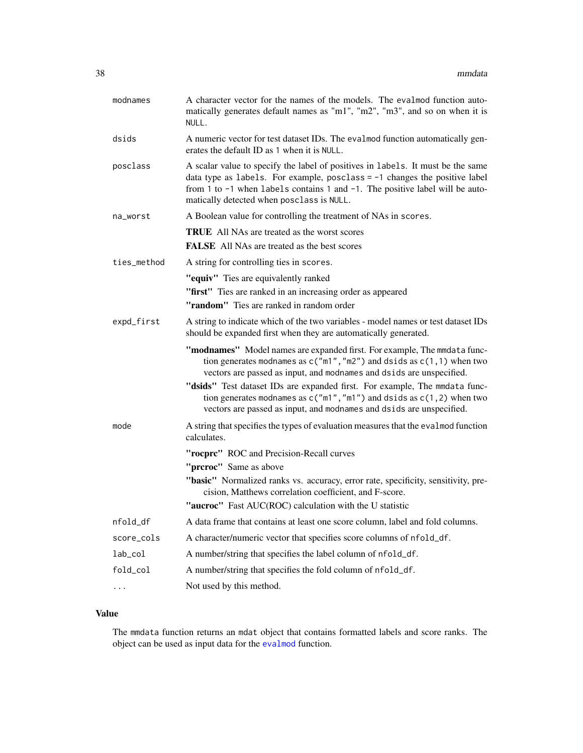| modnames    | A character vector for the names of the models. The evalmod function auto-<br>matically generates default names as "m1", "m2", "m3", and so on when it is<br>NULL.                                                                                                                                |  |  |
|-------------|---------------------------------------------------------------------------------------------------------------------------------------------------------------------------------------------------------------------------------------------------------------------------------------------------|--|--|
| dsids       | A numeric vector for test dataset IDs. The evalmod function automatically gen-<br>erates the default ID as 1 when it is NULL.                                                                                                                                                                     |  |  |
| posclass    | A scalar value to specify the label of positives in labels. It must be the same<br>data type as labels. For example, posclass $= -1$ changes the positive label<br>from 1 to $-1$ when labels contains 1 and $-1$ . The positive label will be auto-<br>matically detected when posclass is NULL. |  |  |
| na_worst    | A Boolean value for controlling the treatment of NAs in scores.                                                                                                                                                                                                                                   |  |  |
|             | <b>TRUE</b> All NAs are treated as the worst scores<br>FALSE All NAs are treated as the best scores                                                                                                                                                                                               |  |  |
| ties_method | A string for controlling ties in scores.                                                                                                                                                                                                                                                          |  |  |
|             | "equiv" Ties are equivalently ranked                                                                                                                                                                                                                                                              |  |  |
|             | "first" Ties are ranked in an increasing order as appeared                                                                                                                                                                                                                                        |  |  |
|             | <b>"random"</b> Ties are ranked in random order                                                                                                                                                                                                                                                   |  |  |
| expd_first  | A string to indicate which of the two variables - model names or test dataset IDs<br>should be expanded first when they are automatically generated.                                                                                                                                              |  |  |
|             | "modnames" Model names are expanded first. For example, The mmdata func-<br>tion generates modnames as $c("m1", "m2")$ and dsids as $c(1, 1)$ when two<br>vectors are passed as input, and modnames and dsids are unspecified.                                                                    |  |  |
|             | "dsids" Test dataset IDs are expanded first. For example, The mmdata func-<br>tion generates modnames as $c("m1", "m1")$ and dsids as $c(1, 2)$ when two<br>vectors are passed as input, and modnames and dsids are unspecified.                                                                  |  |  |
| mode        | A string that specifies the types of evaluation measures that the eval mod function<br>calculates.                                                                                                                                                                                                |  |  |
|             | "rocprc" ROC and Precision-Recall curves                                                                                                                                                                                                                                                          |  |  |
|             | "prcroc" Same as above                                                                                                                                                                                                                                                                            |  |  |
|             | "basic" Normalized ranks vs. accuracy, error rate, specificity, sensitivity, pre-<br>cision, Matthews correlation coefficient, and F-score.                                                                                                                                                       |  |  |
|             | "aucroc" Fast AUC(ROC) calculation with the U statistic                                                                                                                                                                                                                                           |  |  |
| nfold_df    | A data frame that contains at least one score column, label and fold columns.                                                                                                                                                                                                                     |  |  |
| score_cols  | A character/numeric vector that specifies score columns of nfold_df.                                                                                                                                                                                                                              |  |  |
| $lab\_col$  | A number/string that specifies the label column of nfold_df.                                                                                                                                                                                                                                      |  |  |
| fold_col    | A number/string that specifies the fold column of nfold_df.                                                                                                                                                                                                                                       |  |  |
| $\cdots$    | Not used by this method.                                                                                                                                                                                                                                                                          |  |  |

### Value

The mmdata function returns an mdat object that contains formatted labels and score ranks. The object can be used as input data for the [evalmod](#page-19-1) function.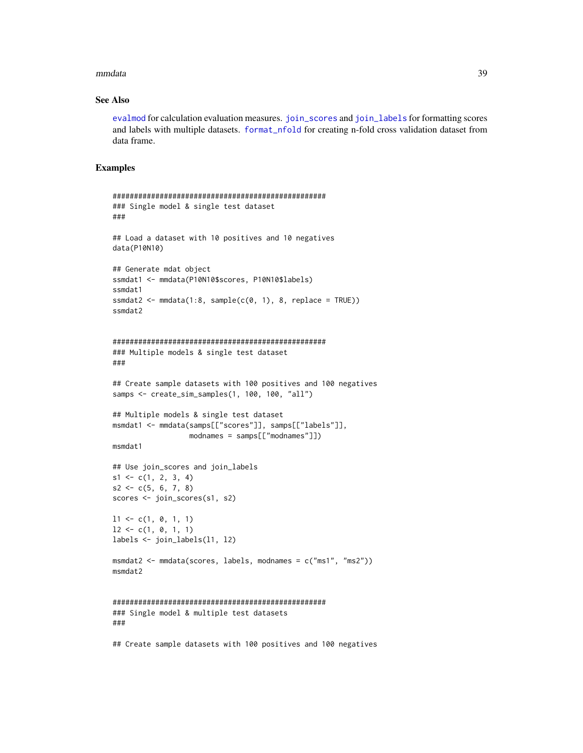#### <span id="page-38-0"></span>mmdata 39

### See Also

[evalmod](#page-19-1) for calculation evaluation measures. [join\\_scores](#page-34-1) and [join\\_labels](#page-33-1) for formatting scores and labels with multiple datasets. [format\\_nfold](#page-24-1) for creating n-fold cross validation dataset from data frame.

### Examples

```
##################################################
### Single model & single test dataset
###
## Load a dataset with 10 positives and 10 negatives
data(P10N10)
## Generate mdat object
ssmdat1 <- mmdata(P10N10$scores, P10N10$labels)
ssmdat1
ssmdat2 <- mmdata(1:8, sample(c(0, 1), 8, replace = TRUE))ssmdat2
##################################################
### Multiple models & single test dataset
###
## Create sample datasets with 100 positives and 100 negatives
samps <- create_sim_samples(1, 100, 100, "all")
## Multiple models & single test dataset
msmdat1 <- mmdata(samps[["scores"]], samps[["labels"]],
                  modnames = samps[["modnames"]])
msmdat1
## Use join_scores and join_labels
s1 \leftarrow c(1, 2, 3, 4)s2 \leq c(5, 6, 7, 8)scores <- join_scores(s1, s2)
11 \leftarrow c(1, 0, 1, 1)12 \leq c(1, 0, 1, 1)labels <- join_labels(l1, l2)
msmdat2 <- mmdata(scores, labels, modnames = c("ms1", "ms2"))
msmdat2
##################################################
### Single model & multiple test datasets
###
```
## Create sample datasets with 100 positives and 100 negatives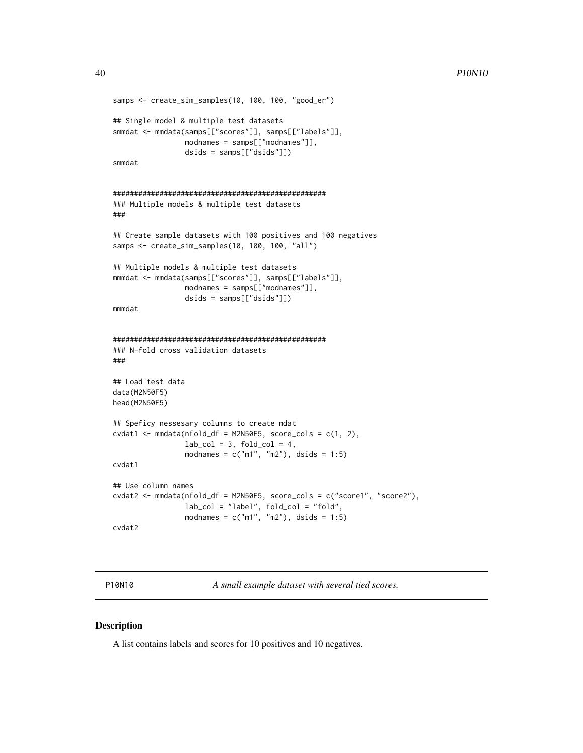```
samps <- create_sim_samples(10, 100, 100, "good_er")
## Single model & multiple test datasets
smmdat <- mmdata(samps[["scores"]], samps[["labels"]],
                  modnames = samps[["modnames"]],
                  dsids = samps[["dsids"]])
smmdat
##################################################
### Multiple models & multiple test datasets
###
## Create sample datasets with 100 positives and 100 negatives
samps <- create_sim_samples(10, 100, 100, "all")
## Multiple models & multiple test datasets
mmmdat <- mmdata(samps[["scores"]], samps[["labels"]],
                  modnames = samps[["modnames"]],
                  dsids = samps[["dsids"]])
mmmdat
##################################################
### N-fold cross validation datasets
###
## Load test data
data(M2N50F5)
head(M2N50F5)
## Speficy nessesary columns to create mdat
cvdat1 \leftarrow \text{mmdata}(\text{nfold}_d f = \text{M2N50F5}, \text{score}_cols = c(1, 2),lab\_col = 3, fold\_col = 4,
                  modnames = c("m1", "m2"), dsids = 1:5)
cvdat1
## Use column names
cvdat2 <- mmdata(nfold_df = M2N50F5, score_cols = c("score1", "score2"),
                 lab_col = "label", fold_col = "fold",
                  modnames = c("m1", "m2"), dsids = 1:5)
cvdat2
```
P10N10 *A small example dataset with several tied scores.*

### Description

A list contains labels and scores for 10 positives and 10 negatives.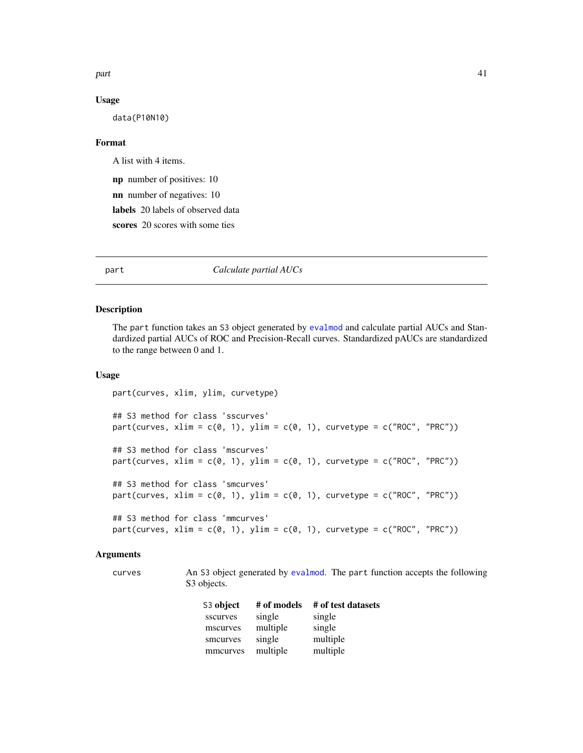<span id="page-40-0"></span>part that the contract of the contract of the contract of the contract of the contract of the contract of the contract of the contract of the contract of the contract of the contract of the contract of the contract of the

#### Usage

data(P10N10)

### Format

A list with 4 items.

np number of positives: 10

nn number of negatives: 10

labels 20 labels of observed data

scores 20 scores with some ties

<span id="page-40-1"></span>part *Calculate partial AUCs*

### Description

The part function takes an S3 object generated by [evalmod](#page-19-1) and calculate partial AUCs and Standardized partial AUCs of ROC and Precision-Recall curves. Standardized pAUCs are standardized to the range between 0 and 1.

### Usage

```
part(curves, xlim, ylim, curvetype)
## S3 method for class 'sscurves'
part(curves, xlim = c(0, 1), ylim = c(0, 1), curvetype = c("ROC", "PRC"))## S3 method for class 'mscurves'
part(curves, xlim = c(0, 1), ylim = c(0, 1), curvetype = c("ROC", "PRC"))
## S3 method for class 'smcurves'
part(curves, xlim = c(0, 1), ylim = c(0, 1), curvetype = c("ROC", "PRC"))## S3 method for class 'mmcurves'
part(curves, xlim = c(\emptyset, 1), ylim = c(\emptyset, 1), curvetype = c("ROC", "PRC"))
```
### Arguments

curves An S3 object generated by [evalmod](#page-19-1). The part function accepts the following S<sub>3</sub> objects.

| S3 object | # of models | # of test datasets |
|-----------|-------------|--------------------|
| sscurves  | single      | single             |
| mscurves  | multiple    | single             |
| smcurves  | single      | multiple           |
| mmcurves  | multiple    | multiple           |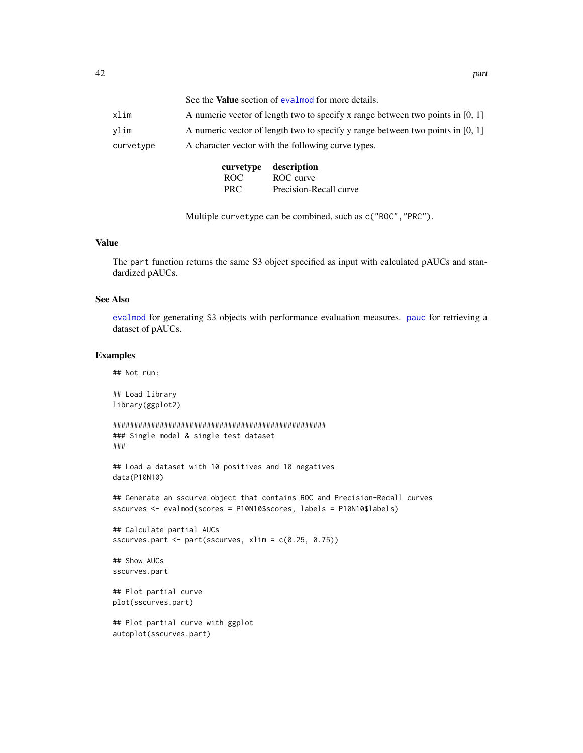<span id="page-41-0"></span>

|           |                                                    | See the <b>Value</b> section of evalmod for more details.                        |  |  |
|-----------|----------------------------------------------------|----------------------------------------------------------------------------------|--|--|
| xlim      |                                                    | A numeric vector of length two to specify x range between two points in $[0, 1]$ |  |  |
| vlim      |                                                    | A numeric vector of length two to specify y range between two points in $[0, 1]$ |  |  |
| curvetype | A character vector with the following curve types. |                                                                                  |  |  |
|           | curvetype                                          | description                                                                      |  |  |
|           | ROC.                                               | ROC curve                                                                        |  |  |

Multiple curvetype can be combined, such as c("ROC","PRC").

PRC Precision-Recall curve

#### Value

The part function returns the same S3 object specified as input with calculated pAUCs and standardized pAUCs.

### See Also

[evalmod](#page-19-1) for generating S3 objects with performance evaluation measures. [pauc](#page-43-1) for retrieving a dataset of pAUCs.

### Examples

## Not run:

```
## Load library
library(ggplot2)
```

```
##################################################
### Single model & single test dataset
###
```

```
## Load a dataset with 10 positives and 10 negatives
data(P10N10)
```

```
## Generate an sscurve object that contains ROC and Precision-Recall curves
sscurves <- evalmod(scores = P10N10$scores, labels = P10N10$labels)
```

```
## Calculate partial AUCs
sscurves.part <- part(sscurves, xlim = c(0.25, 0.75))
```

```
## Show AUCs
sscurves.part
```

```
## Plot partial curve
plot(sscurves.part)
```

```
## Plot partial curve with ggplot
autoplot(sscurves.part)
```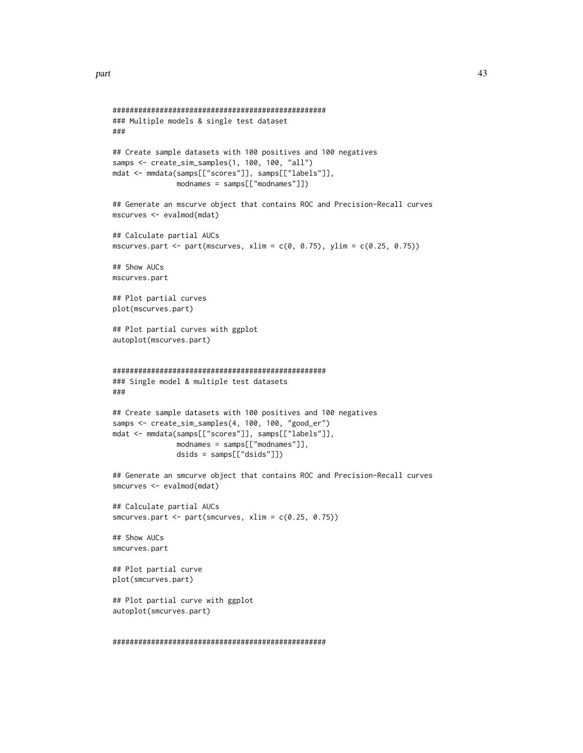```
##################################################
### Multiple models & single test dataset
###
## Create sample datasets with 100 positives and 100 negatives
samps <- create_sim_samples(1, 100, 100, "all")
mdat <- mmdata(samps[["scores"]], samps[["labels"]],
               modnames = samps[["modnames"]])
## Generate an mscurve object that contains ROC and Precision-Recall curves
mscurves <- evalmod(mdat)
## Calculate partial AUCs
mscurves.part <- part(mscurves, xlim = c(0, 0.75), ylim = c(0.25, 0.75))
## Show AUCs
mscurves.part
## Plot partial curves
plot(mscurves.part)
## Plot partial curves with ggplot
autoplot(mscurves.part)
##################################################
### Single model & multiple test datasets
###
## Create sample datasets with 100 positives and 100 negatives
samps <- create_sim_samples(4, 100, 100, "good_er")
mdat <- mmdata(samps[["scores"]], samps[["labels"]],
               modnames = samps[["modnames"]],
               dsids = samps[["dsids"]])
## Generate an smcurve object that contains ROC and Precision-Recall curves
smcurves <- evalmod(mdat)
## Calculate partial AUCs
smcurves.part <- part(smcurves, xlim = c(0.25, 0.75))
## Show AUCs
smcurves.part
## Plot partial curve
plot(smcurves.part)
## Plot partial curve with ggplot
autoplot(smcurves.part)
```

```
##################################################
```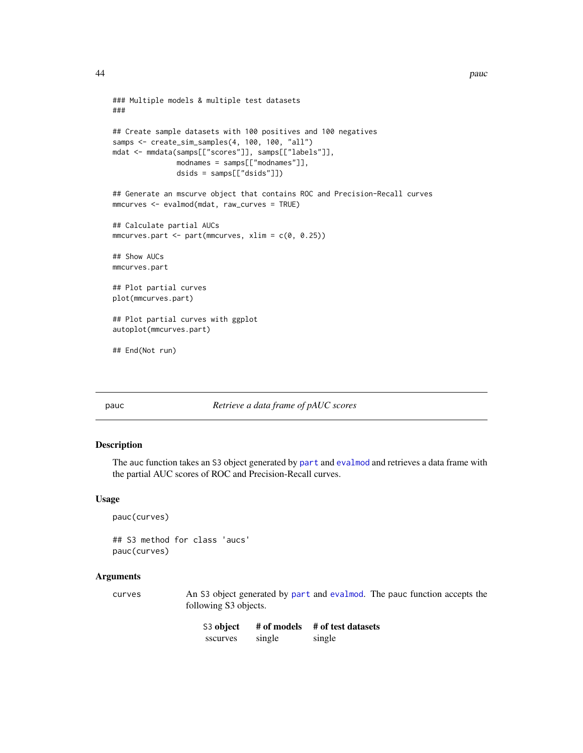```
### Multiple models & multiple test datasets
###
## Create sample datasets with 100 positives and 100 negatives
samps <- create_sim_samples(4, 100, 100, "all")
mdat <- mmdata(samps[["scores"]], samps[["labels"]],
               modnames = samps[["modnames"]],
               dsids = samps[["dsids"]])
## Generate an mscurve object that contains ROC and Precision-Recall curves
mmcurves <- evalmod(mdat, raw_curves = TRUE)
## Calculate partial AUCs
mmcurves.part \leq part(mmcurves, xlim = c(0, 0.25))
## Show AUCs
mmcurves.part
## Plot partial curves
plot(mmcurves.part)
## Plot partial curves with ggplot
autoplot(mmcurves.part)
## End(Not run)
```
#### <span id="page-43-1"></span>pauc *Retrieve a data frame of pAUC scores*

### Description

The auc function takes an S3 object generated by [part](#page-40-1) and [evalmod](#page-19-1) and retrieves a data frame with the partial AUC scores of ROC and Precision-Recall curves.

#### Usage

```
pauc(curves)
```
## S3 method for class 'aucs' pauc(curves)

### Arguments

curves An S3 object generated by [part](#page-40-1) and [evalmod](#page-19-1). The pauc function accepts the following S3 objects.

| S <sub>3</sub> object | # of models | # of test datasets |
|-----------------------|-------------|--------------------|
| sscurves              | single      | single             |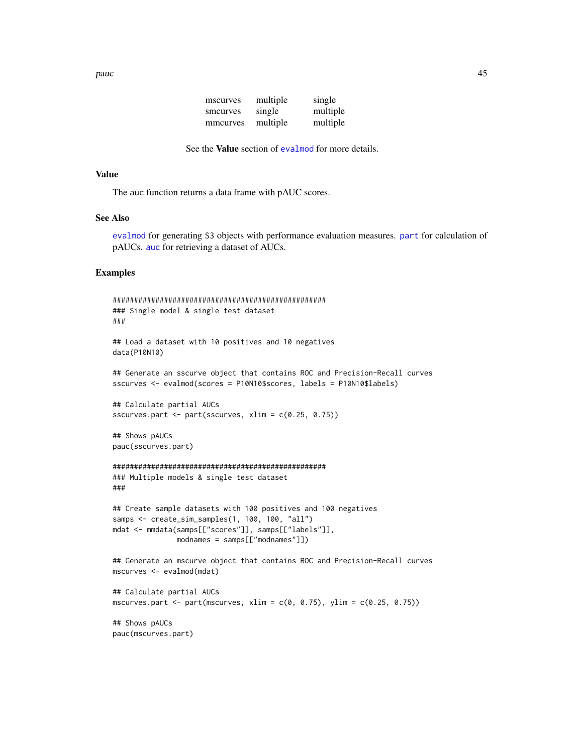| mscurves | multiple | single   |
|----------|----------|----------|
| smcurves | single   | multiple |
| mmcurves | multiple | multiple |

```
See the Value section of evalmod for more details.
```
### <span id="page-44-0"></span>Value

The auc function returns a data frame with pAUC scores.

### See Also

[evalmod](#page-19-1) for generating S3 objects with performance evaluation measures. [part](#page-40-1) for calculation of pAUCs. [auc](#page-6-1) for retrieving a dataset of AUCs.

### Examples

```
##################################################
### Single model & single test dataset
###
## Load a dataset with 10 positives and 10 negatives
data(P10N10)
## Generate an sscurve object that contains ROC and Precision-Recall curves
sscurves <- evalmod(scores = P10N10$scores, labels = P10N10$labels)
## Calculate partial AUCs
sscurves.part <- part(sscurves, xlim = c(0.25, 0.75))
## Shows pAUCs
pauc(sscurves.part)
##################################################
### Multiple models & single test dataset
###
## Create sample datasets with 100 positives and 100 negatives
samps <- create_sim_samples(1, 100, 100, "all")
mdat <- mmdata(samps[["scores"]], samps[["labels"]],
               modnames = samps[["modnames"]])
## Generate an mscurve object that contains ROC and Precision-Recall curves
mscurves <- evalmod(mdat)
## Calculate partial AUCs
mscurves.part <- part(mscurves, xlim = c(\emptyset, \emptyset.75), ylim = c(\emptyset.25, \emptyset.75))
## Shows pAUCs
```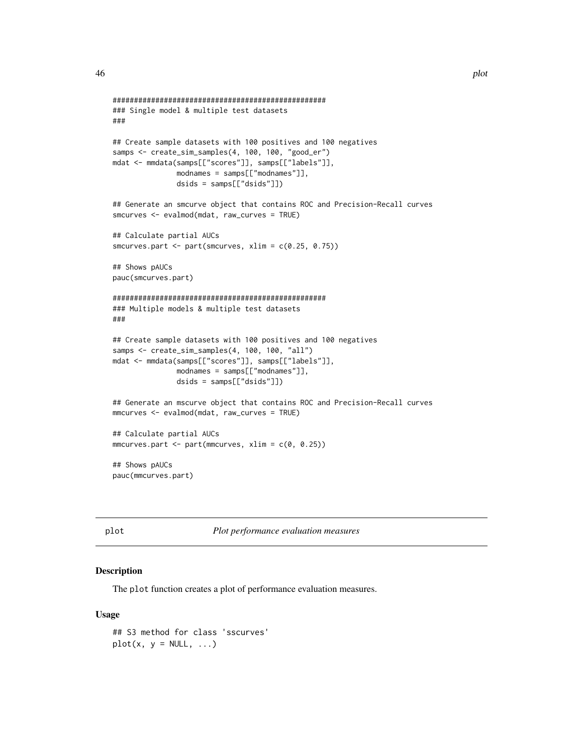```
##################################################
### Single model & multiple test datasets
###
## Create sample datasets with 100 positives and 100 negatives
samps <- create_sim_samples(4, 100, 100, "good_er")
mdat <- mmdata(samps[["scores"]], samps[["labels"]],
               modnames = samps[["modnames"]],
               dsids = samps[["dsids"]])
## Generate an smcurve object that contains ROC and Precision-Recall curves
smcurves <- evalmod(mdat, raw_curves = TRUE)
## Calculate partial AUCs
smcurves.part <- part(smcurves, xlim = c(0.25, 0.75))
## Shows pAUCs
pauc(smcurves.part)
##################################################
### Multiple models & multiple test datasets
###
## Create sample datasets with 100 positives and 100 negatives
samps <- create_sim_samples(4, 100, 100, "all")
mdat <- mmdata(samps[["scores"]], samps[["labels"]],
               modnames = samps[["modnames"]],
               dsids = samps[["dsids"]])
## Generate an mscurve object that contains ROC and Precision-Recall curves
mmcurves <- evalmod(mdat, raw_curves = TRUE)
## Calculate partial AUCs
mmcurves.path < - part(mmcurves, xlim = c(0, 0.25))## Shows pAUCs
pauc(mmcurves.part)
```
<span id="page-45-1"></span>

plot *Plot performance evaluation measures*

### Description

The plot function creates a plot of performance evaluation measures.

#### Usage

```
## S3 method for class 'sscurves'
plot(x, y = NULL, ...)
```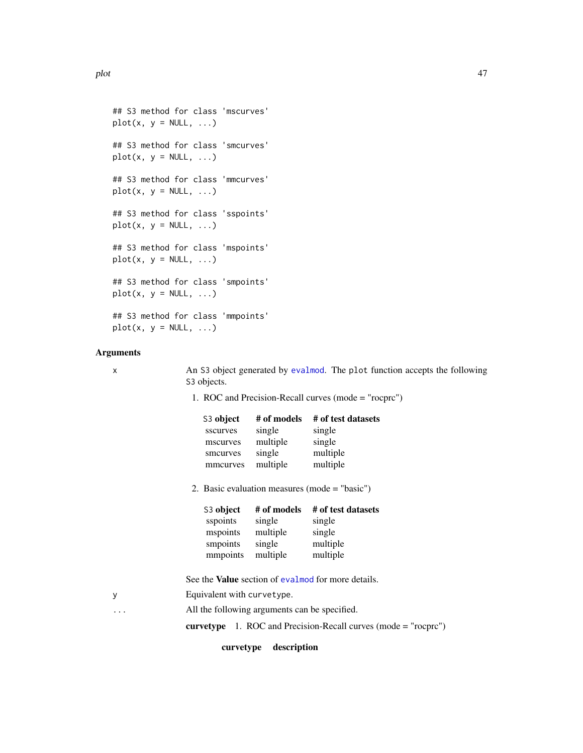```
## S3 method for class 'mscurves'
plot(x, y = NULL, ...)## S3 method for class 'smcurves'
plot(x, y = NULL, ...)## S3 method for class 'mmcurves'
plot(x, y = NULL, ...)## S3 method for class 'sspoints'
plot(x, y = NULL, ...)## S3 method for class 'mspoints'
plot(x, y = NULL, ...)## S3 method for class 'smpoints'
plot(x, y = NULL, ...)## S3 method for class 'mmpoints'
plot(x, y = NULL, ...)
```
### Arguments

x An S3 object generated by [evalmod](#page-19-1). The plot function accepts the following S3 objects.

1. ROC and Precision-Recall curves (mode = "rocprc")

| S3 object | # of models | # of test datasets |
|-----------|-------------|--------------------|
| sscurves  | single      | single             |
| mscurves  | multiple    | single             |
| smcurves  | single      | multiple           |
| mmcurves  | multiple    | multiple           |
|           |             |                    |

2. Basic evaluation measures (mode = "basic")

| S3 object | # of models | # of test datasets |
|-----------|-------------|--------------------|
| sspoints  | single      | single             |
| mspoints  | multiple    | single             |
| smpoints  | single      | multiple           |
| mmpoints  | multiple    | multiple           |

See the Value section of [evalmod](#page-19-1) for more details.

y Equivalent with curvetype.

... All the following arguments can be specified.

curvetype 1. ROC and Precision-Recall curves (mode = "rocprc")

#### curvetype description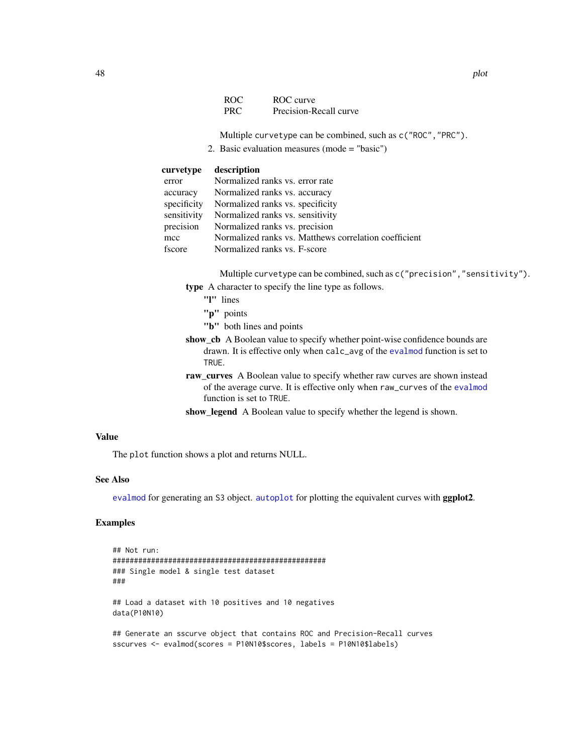| ROC | ROC curve              |
|-----|------------------------|
| PRC | Precision-Recall curve |

Multiple curvetype can be combined, such as c("ROC","PRC").

2. Basic evaluation measures (mode = "basic")

### <span id="page-47-0"></span>curvetype description

| error       | Normalized ranks vs. error rate                       |
|-------------|-------------------------------------------------------|
| accuracy    | Normalized ranks vs. accuracy                         |
| specificity | Normalized ranks vs. specificity                      |
| sensitivity | Normalized ranks vs. sensitivity                      |
| precision   | Normalized ranks vs. precision                        |
| mcc         | Normalized ranks vs. Matthews correlation coefficient |
| fscore      | Normalized ranks vs. F-score                          |

Multiple curvetype can be combined, such as c("precision","sensitivity"). type A character to specify the line type as follows.

- "l" lines
- "p" points
- "b" both lines and points
- show\_cb A Boolean value to specify whether point-wise confidence bounds are drawn. It is effective only when calc\_avg of the [evalmod](#page-19-1) function is set to TRUE.
- raw\_curves A Boolean value to specify whether raw curves are shown instead of the average curve. It is effective only when raw\_curves of the [evalmod](#page-19-1) function is set to TRUE.
- show\_legend A Boolean value to specify whether the legend is shown.

### Value

The plot function shows a plot and returns NULL.

### See Also

[evalmod](#page-19-1) for generating an S3 object. [autoplot](#page-10-1) for plotting the equivalent curves with **ggplot2**.

### Examples

```
## Not run:
##################################################
### Single model & single test dataset
###
## Load a dataset with 10 positives and 10 negatives
data(P10N10)
## Generate an sscurve object that contains ROC and Precision-Recall curves
sscurves <- evalmod(scores = P10N10$scores, labels = P10N10$labels)
```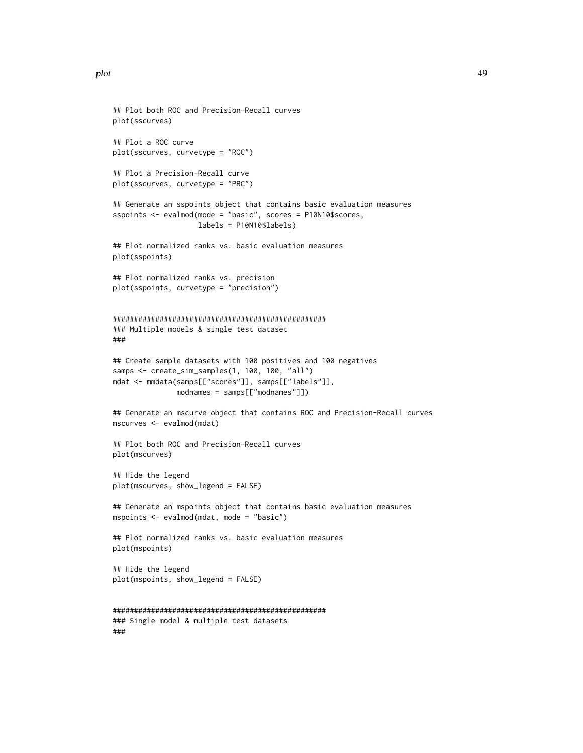```
## Plot both ROC and Precision-Recall curves
plot(sscurves)
## Plot a ROC curve
plot(sscurves, curvetype = "ROC")
## Plot a Precision-Recall curve
plot(sscurves, curvetype = "PRC")
## Generate an sspoints object that contains basic evaluation measures
sspoints <- evalmod(mode = "basic", scores = P10N10$scores,
                    labels = P10N10$labels)
## Plot normalized ranks vs. basic evaluation measures
plot(sspoints)
## Plot normalized ranks vs. precision
plot(sspoints, curvetype = "precision")
##################################################
### Multiple models & single test dataset
###
## Create sample datasets with 100 positives and 100 negatives
samps <- create_sim_samples(1, 100, 100, "all")
mdat <- mmdata(samps[["scores"]], samps[["labels"]],
               modnames = samps[["modnames"]])
## Generate an mscurve object that contains ROC and Precision-Recall curves
mscurves <- evalmod(mdat)
## Plot both ROC and Precision-Recall curves
plot(mscurves)
## Hide the legend
plot(mscurves, show_legend = FALSE)
## Generate an mspoints object that contains basic evaluation measures
mspoints <- evalmod(mdat, mode = "basic")
## Plot normalized ranks vs. basic evaluation measures
plot(mspoints)
## Hide the legend
plot(mspoints, show_legend = FALSE)
##################################################
### Single model & multiple test datasets
###
```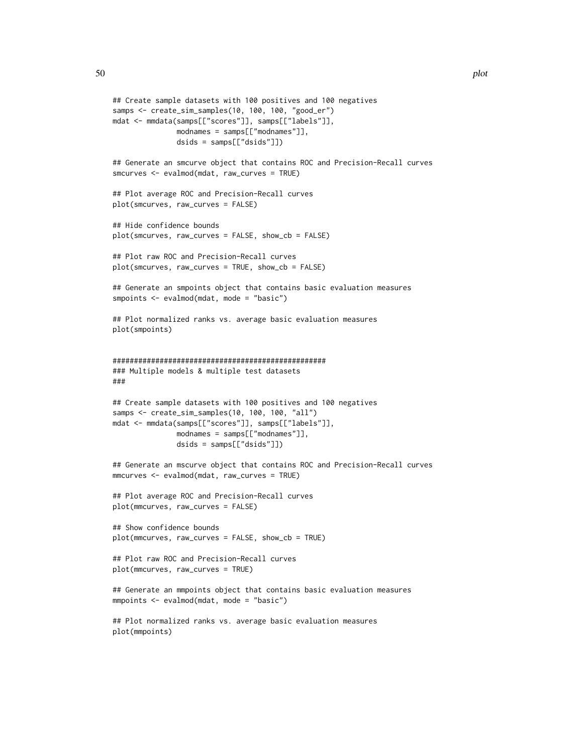```
## Create sample datasets with 100 positives and 100 negatives
samps <- create_sim_samples(10, 100, 100, "good_er")
mdat <- mmdata(samps[["scores"]], samps[["labels"]],
              modnames = samps[["modnames"]],
               dsids = samps[["dsids"]])
## Generate an smcurve object that contains ROC and Precision-Recall curves
smcurves <- evalmod(mdat, raw_curves = TRUE)
## Plot average ROC and Precision-Recall curves
plot(smcurves, raw_curves = FALSE)
## Hide confidence bounds
plot(smcurves, raw_curves = FALSE, show_cb = FALSE)
## Plot raw ROC and Precision-Recall curves
plot(smcurves, raw_curves = TRUE, show_cb = FALSE)
## Generate an smpoints object that contains basic evaluation measures
smpoints <- evalmod(mdat, mode = "basic")
## Plot normalized ranks vs. average basic evaluation measures
plot(smpoints)
##################################################
### Multiple models & multiple test datasets
###
## Create sample datasets with 100 positives and 100 negatives
samps <- create_sim_samples(10, 100, 100, "all")
mdat <- mmdata(samps[["scores"]], samps[["labels"]],
              modnames = samps[["modnames"]],
               dsids = samps[["dsids"]])
## Generate an mscurve object that contains ROC and Precision-Recall curves
mmcurves <- evalmod(mdat, raw_curves = TRUE)
## Plot average ROC and Precision-Recall curves
plot(mmcurves, raw_curves = FALSE)
## Show confidence bounds
plot(mmcurves, raw_curves = FALSE, show_cb = TRUE)
## Plot raw ROC and Precision-Recall curves
plot(mmcurves, raw_curves = TRUE)
## Generate an mmpoints object that contains basic evaluation measures
mmpoints <- evalmod(mdat, mode = "basic")
## Plot normalized ranks vs. average basic evaluation measures
```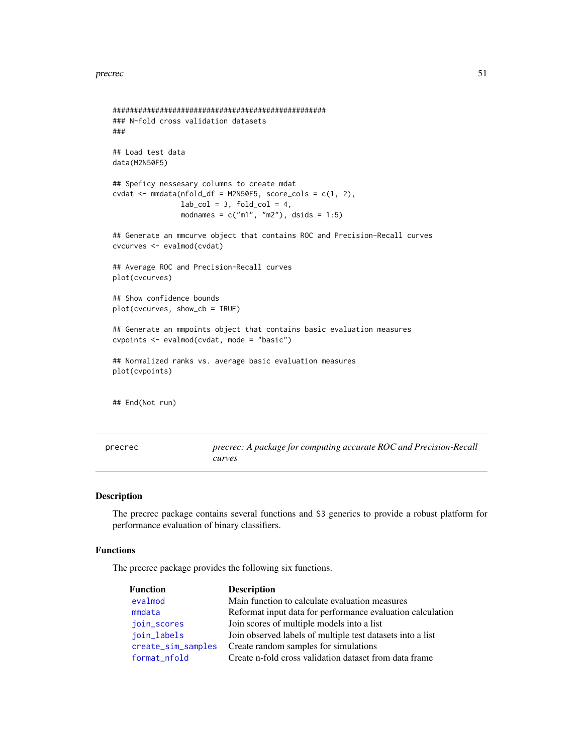#### <span id="page-50-0"></span>precrec 51

```
##################################################
### N-fold cross validation datasets
###
## Load test data
data(M2N50F5)
## Speficy nessesary columns to create mdat
\text{cvdat} \leq \text{mmdata}(\text{nfold\_df} = \text{M2N50F5}, \text{score\_cols} = \text{c}(1, 2),lab\_col = 3, fold\_col = 4,
                 modnames = c("m1", "m2"), dsids = 1:5)
## Generate an mmcurve object that contains ROC and Precision-Recall curves
cvcurves <- evalmod(cvdat)
## Average ROC and Precision-Recall curves
plot(cvcurves)
## Show confidence bounds
plot(cvcurves, show_cb = TRUE)
## Generate an mmpoints object that contains basic evaluation measures
cvpoints <- evalmod(cvdat, mode = "basic")
## Normalized ranks vs. average basic evaluation measures
plot(cvpoints)
## End(Not run)
```
precrec *precrec: A package for computing accurate ROC and Precision-Recall curves*

### Description

The precrec package contains several functions and S3 generics to provide a robust platform for performance evaluation of binary classifiers.

### Functions

The precrec package provides the following six functions.

| <b>Function</b>    | <b>Description</b>                                         |
|--------------------|------------------------------------------------------------|
| evalmod            | Main function to calculate evaluation measures             |
| mmdata             | Reformat input data for performance evaluation calculation |
| join_scores        | Join scores of multiple models into a list                 |
| join_labels        | Join observed labels of multiple test datasets into a list |
| create_sim_samples | Create random samples for simulations                      |
| format_nfold       | Create n-fold cross validation dataset from data frame     |
|                    |                                                            |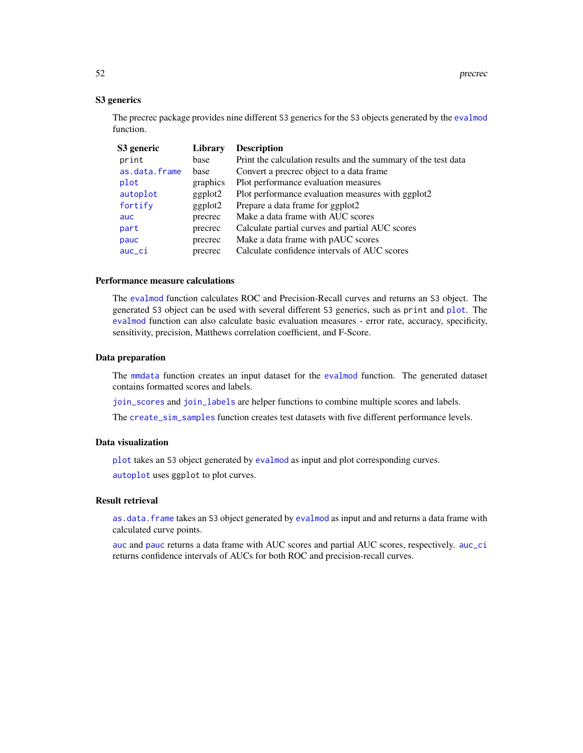### S3 generics

The precrec package provides nine different S3 generics for the S3 objects generated by the [evalmod](#page-19-1) function.

| S3 generic    | Library  | <b>Description</b>                                             |
|---------------|----------|----------------------------------------------------------------|
| print         | base     | Print the calculation results and the summary of the test data |
| as.data.frame | base     | Convert a precrec object to a data frame.                      |
| plot          | graphics | Plot performance evaluation measures                           |
| autoplot      | ggplot2  | Plot performance evaluation measures with ggplot2              |
| fortify       | ggplot2  | Prepare a data frame for ggplot2                               |
| auc.          | precrec  | Make a data frame with AUC scores                              |
| part          | precrec  | Calculate partial curves and partial AUC scores                |
| pauc          | precrec  | Make a data frame with pAUC scores                             |
| auc_ci        | precrec  | Calculate confidence intervals of AUC scores                   |

#### Performance measure calculations

The [evalmod](#page-19-1) function calculates ROC and Precision-Recall curves and returns an S3 object. The generated S3 object can be used with several different S3 generics, such as print and [plot](#page-45-1). The [evalmod](#page-19-1) function can also calculate basic evaluation measures - error rate, accuracy, specificity, sensitivity, precision, Matthews correlation coefficient, and F-Score.

#### Data preparation

The [mmdata](#page-36-1) function creates an input dataset for the [evalmod](#page-19-1) function. The generated dataset contains formatted scores and labels.

[join\\_scores](#page-34-1) and [join\\_labels](#page-33-1) are helper functions to combine multiple scores and labels.

The [create\\_sim\\_samples](#page-18-1) function creates test datasets with five different performance levels.

### Data visualization

[plot](#page-45-1) takes an S3 object generated by [evalmod](#page-19-1) as input and plot corresponding curves.

[autoplot](#page-10-1) uses ggplot to plot curves.

#### Result retrieval

[as.data.frame](#page-1-1) takes an S3 object generated by [evalmod](#page-19-1) as input and and returns a data frame with calculated curve points.

[auc](#page-6-1) and [pauc](#page-43-1) returns a data frame with AUC scores and partial AUC scores, respectively. [auc\\_ci](#page-8-1) returns confidence intervals of AUCs for both ROC and precision-recall curves.

<span id="page-51-0"></span>